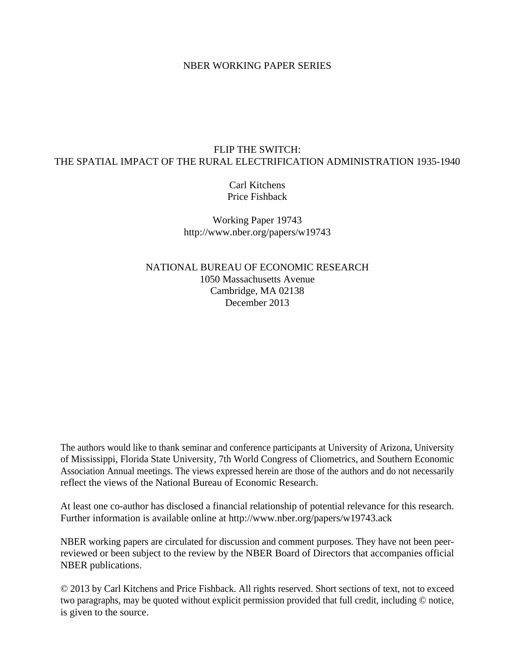#### NBER WORKING PAPER SERIES

## FLIP THE SWITCH: THE SPATIAL IMPACT OF THE RURAL ELECTRIFICATION ADMINISTRATION 1935-1940

Carl Kitchens Price Fishback

Working Paper 19743 http://www.nber.org/papers/w19743

NATIONAL BUREAU OF ECONOMIC RESEARCH 1050 Massachusetts Avenue Cambridge, MA 02138 December 2013

The authors would like to thank seminar and conference participants at University of Arizona, University of Mississippi, Florida State University, 7th World Congress of Cliometrics, and Southern Economic Association Annual meetings. The views expressed herein are those of the authors and do not necessarily reflect the views of the National Bureau of Economic Research.

At least one co-author has disclosed a financial relationship of potential relevance for this research. Further information is available online at http://www.nber.org/papers/w19743.ack

NBER working papers are circulated for discussion and comment purposes. They have not been peerreviewed or been subject to the review by the NBER Board of Directors that accompanies official NBER publications.

© 2013 by Carl Kitchens and Price Fishback. All rights reserved. Short sections of text, not to exceed two paragraphs, may be quoted without explicit permission provided that full credit, including © notice, is given to the source.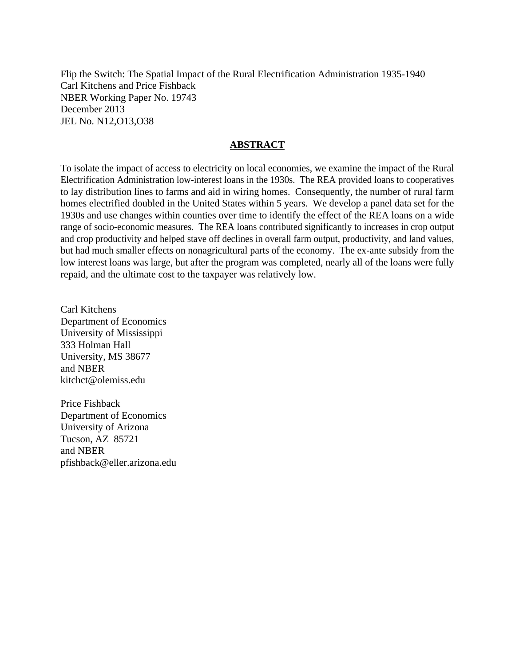Flip the Switch: The Spatial Impact of the Rural Electrification Administration 1935-1940 Carl Kitchens and Price Fishback NBER Working Paper No. 19743 December 2013 JEL No. N12,O13,O38

## **ABSTRACT**

To isolate the impact of access to electricity on local economies, we examine the impact of the Rural Electrification Administration low-interest loans in the 1930s. The REA provided loans to cooperatives to lay distribution lines to farms and aid in wiring homes. Consequently, the number of rural farm homes electrified doubled in the United States within 5 years. We develop a panel data set for the 1930s and use changes within counties over time to identify the effect of the REA loans on a wide range of socio-economic measures. The REA loans contributed significantly to increases in crop output and crop productivity and helped stave off declines in overall farm output, productivity, and land values, but had much smaller effects on nonagricultural parts of the economy. The ex-ante subsidy from the low interest loans was large, but after the program was completed, nearly all of the loans were fully repaid, and the ultimate cost to the taxpayer was relatively low.

Carl Kitchens Department of Economics University of Mississippi 333 Holman Hall University, MS 38677 and NBER kitchct@olemiss.edu

Price Fishback Department of Economics University of Arizona Tucson, AZ 85721 and NBER pfishback@eller.arizona.edu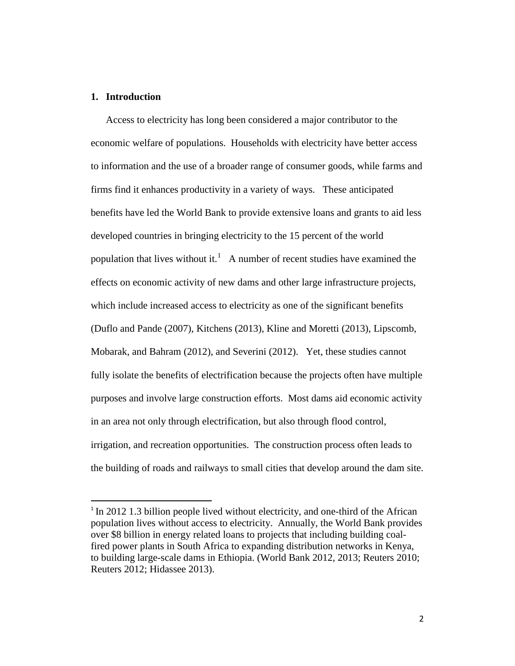## **1. Introduction**

 $\overline{\phantom{a}}$ 

Access to electricity has long been considered a major contributor to the economic welfare of populations. Households with electricity have better access to information and the use of a broader range of consumer goods, while farms and firms find it enhances productivity in a variety of ways. These anticipated benefits have led the World Bank to provide extensive loans and grants to aid less developed countries in bringing electricity to the 15 percent of the world population that lives without it.<sup>[1](#page-2-0)</sup> A number of recent studies have examined the effects on economic activity of new dams and other large infrastructure projects, which include increased access to electricity as one of the significant benefits (Duflo and Pande (2007), Kitchens (2013), Kline and Moretti (2013), Lipscomb, Mobarak, and Bahram (2012), and Severini (2012). Yet, these studies cannot fully isolate the benefits of electrification because the projects often have multiple purposes and involve large construction efforts. Most dams aid economic activity in an area not only through electrification, but also through flood control, irrigation, and recreation opportunities. The construction process often leads to the building of roads and railways to small cities that develop around the dam site.

<span id="page-2-0"></span><sup>&</sup>lt;sup>1</sup> In 2012 1.3 billion people lived without electricity, and one-third of the African population lives without access to electricity. Annually, the World Bank provides over \$8 billion in energy related loans to projects that including building coalfired power plants in South Africa to expanding distribution networks in Kenya, to building large-scale dams in Ethiopia. (World Bank 2012, 2013; Reuters 2010; Reuters 2012; Hidassee 2013).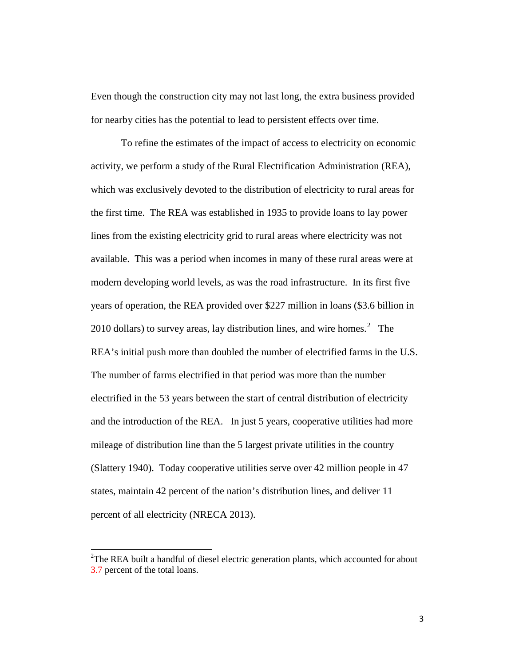Even though the construction city may not last long, the extra business provided for nearby cities has the potential to lead to persistent effects over time.

To refine the estimates of the impact of access to electricity on economic activity, we perform a study of the Rural Electrification Administration (REA), which was exclusively devoted to the distribution of electricity to rural areas for the first time. The REA was established in 1935 to provide loans to lay power lines from the existing electricity grid to rural areas where electricity was not available. This was a period when incomes in many of these rural areas were at modern developing world levels, as was the road infrastructure. In its first five years of operation, the REA provided over \$227 million in loans (\$3.6 billion in [2](#page-3-0)010 dollars) to survey areas, lay distribution lines, and wire homes.<sup>2</sup> The REA's initial push more than doubled the number of electrified farms in the U.S. The number of farms electrified in that period was more than the number electrified in the 53 years between the start of central distribution of electricity and the introduction of the REA. In just 5 years, cooperative utilities had more mileage of distribution line than the 5 largest private utilities in the country (Slattery 1940). Today cooperative utilities serve over 42 million people in 47 states, maintain 42 percent of the nation's distribution lines, and deliver 11 percent of all electricity (NRECA 2013).

l

<span id="page-3-0"></span> $2$ The REA built a handful of diesel electric generation plants, which accounted for about 3.7 percent of the total loans.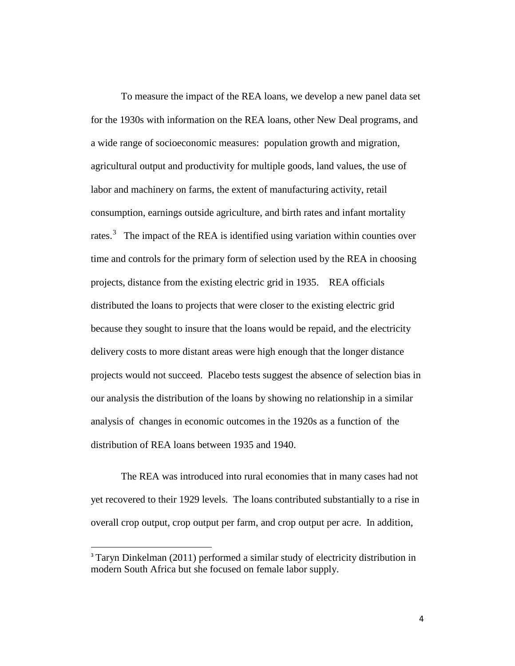To measure the impact of the REA loans, we develop a new panel data set for the 1930s with information on the REA loans, other New Deal programs, and a wide range of socioeconomic measures: population growth and migration, agricultural output and productivity for multiple goods, land values, the use of labor and machinery on farms, the extent of manufacturing activity, retail consumption, earnings outside agriculture, and birth rates and infant mortality rates.<sup>[3](#page-4-0)</sup> The impact of the REA is identified using variation within counties over time and controls for the primary form of selection used by the REA in choosing projects, distance from the existing electric grid in 1935. REA officials distributed the loans to projects that were closer to the existing electric grid because they sought to insure that the loans would be repaid, and the electricity delivery costs to more distant areas were high enough that the longer distance projects would not succeed. Placebo tests suggest the absence of selection bias in our analysis the distribution of the loans by showing no relationship in a similar analysis of changes in economic outcomes in the 1920s as a function of the distribution of REA loans between 1935 and 1940.

The REA was introduced into rural economies that in many cases had not yet recovered to their 1929 levels. The loans contributed substantially to a rise in overall crop output, crop output per farm, and crop output per acre. In addition,

 $\overline{\phantom{a}}$ 

<span id="page-4-0"></span><sup>&</sup>lt;sup>3</sup> Taryn Dinkelman (2011) performed a similar study of electricity distribution in modern South Africa but she focused on female labor supply.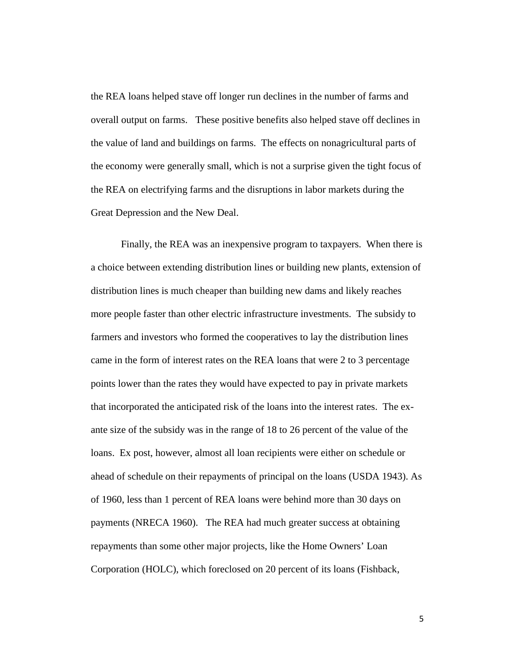the REA loans helped stave off longer run declines in the number of farms and overall output on farms. These positive benefits also helped stave off declines in the value of land and buildings on farms. The effects on nonagricultural parts of the economy were generally small, which is not a surprise given the tight focus of the REA on electrifying farms and the disruptions in labor markets during the Great Depression and the New Deal.

Finally, the REA was an inexpensive program to taxpayers. When there is a choice between extending distribution lines or building new plants, extension of distribution lines is much cheaper than building new dams and likely reaches more people faster than other electric infrastructure investments. The subsidy to farmers and investors who formed the cooperatives to lay the distribution lines came in the form of interest rates on the REA loans that were 2 to 3 percentage points lower than the rates they would have expected to pay in private markets that incorporated the anticipated risk of the loans into the interest rates. The exante size of the subsidy was in the range of 18 to 26 percent of the value of the loans. Ex post, however, almost all loan recipients were either on schedule or ahead of schedule on their repayments of principal on the loans (USDA 1943). As of 1960, less than 1 percent of REA loans were behind more than 30 days on payments (NRECA 1960). The REA had much greater success at obtaining repayments than some other major projects, like the Home Owners' Loan Corporation (HOLC), which foreclosed on 20 percent of its loans (Fishback,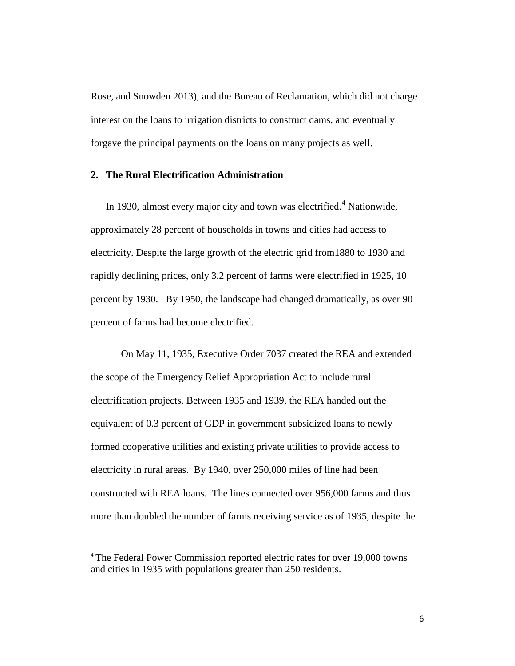Rose, and Snowden 2013), and the Bureau of Reclamation, which did not charge interest on the loans to irrigation districts to construct dams, and eventually forgave the principal payments on the loans on many projects as well.

#### **2. The Rural Electrification Administration**

In 1930, almost every major city and town was electrified.<sup>[4](#page-6-0)</sup> Nationwide, approximately 28 percent of households in towns and cities had access to electricity. Despite the large growth of the electric grid from1880 to 1930 and rapidly declining prices, only 3.2 percent of farms were electrified in 1925, 10 percent by 1930. By 1950, the landscape had changed dramatically, as over 90 percent of farms had become electrified.

On May 11, 1935, Executive Order 7037 created the REA and extended the scope of the Emergency Relief Appropriation Act to include rural electrification projects. Between 1935 and 1939, the REA handed out the equivalent of 0.3 percent of GDP in government subsidized loans to newly formed cooperative utilities and existing private utilities to provide access to electricity in rural areas. By 1940, over 250,000 miles of line had been constructed with REA loans. The lines connected over 956,000 farms and thus more than doubled the number of farms receiving service as of 1935, despite the

 $\overline{\phantom{a}}$ 

<span id="page-6-0"></span><sup>&</sup>lt;sup>4</sup> The Federal Power Commission reported electric rates for over 19,000 towns and cities in 1935 with populations greater than 250 residents.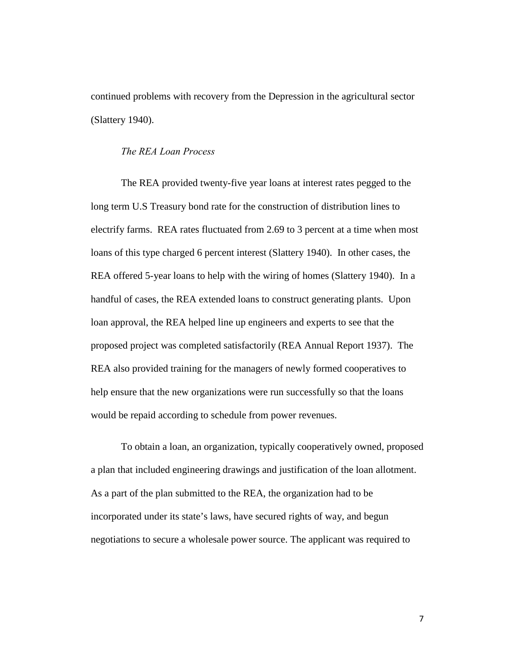continued problems with recovery from the Depression in the agricultural sector (Slattery 1940).

#### *The REA Loan Process*

 The REA provided twenty-five year loans at interest rates pegged to the long term U.S Treasury bond rate for the construction of distribution lines to electrify farms. REA rates fluctuated from 2.69 to 3 percent at a time when most loans of this type charged 6 percent interest (Slattery 1940). In other cases, the REA offered 5-year loans to help with the wiring of homes (Slattery 1940). In a handful of cases, the REA extended loans to construct generating plants. Upon loan approval, the REA helped line up engineers and experts to see that the proposed project was completed satisfactorily (REA Annual Report 1937). The REA also provided training for the managers of newly formed cooperatives to help ensure that the new organizations were run successfully so that the loans would be repaid according to schedule from power revenues.

 To obtain a loan, an organization, typically cooperatively owned, proposed a plan that included engineering drawings and justification of the loan allotment. As a part of the plan submitted to the REA, the organization had to be incorporated under its state's laws, have secured rights of way, and begun negotiations to secure a wholesale power source. The applicant was required to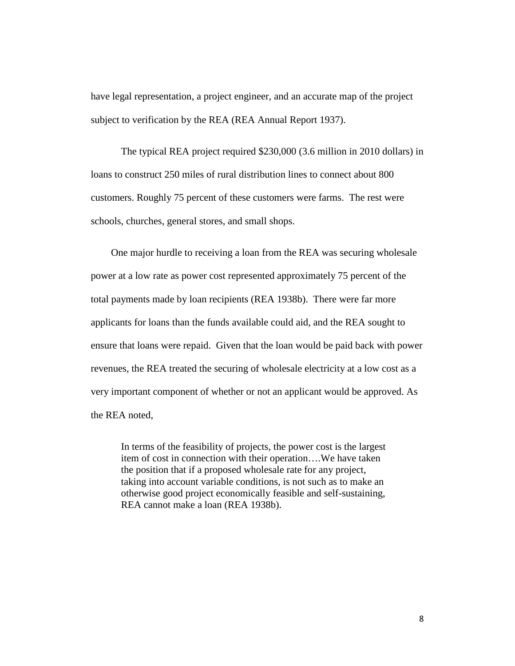have legal representation, a project engineer, and an accurate map of the project subject to verification by the REA (REA Annual Report 1937).

The typical REA project required \$230,000 (3.6 million in 2010 dollars) in loans to construct 250 miles of rural distribution lines to connect about 800 customers. Roughly 75 percent of these customers were farms. The rest were schools, churches, general stores, and small shops.

 One major hurdle to receiving a loan from the REA was securing wholesale power at a low rate as power cost represented approximately 75 percent of the total payments made by loan recipients (REA 1938b). There were far more applicants for loans than the funds available could aid, and the REA sought to ensure that loans were repaid. Given that the loan would be paid back with power revenues, the REA treated the securing of wholesale electricity at a low cost as a very important component of whether or not an applicant would be approved. As the REA noted,

In terms of the feasibility of projects, the power cost is the largest item of cost in connection with their operation….We have taken the position that if a proposed wholesale rate for any project, taking into account variable conditions, is not such as to make an otherwise good project economically feasible and self-sustaining, REA cannot make a loan (REA 1938b).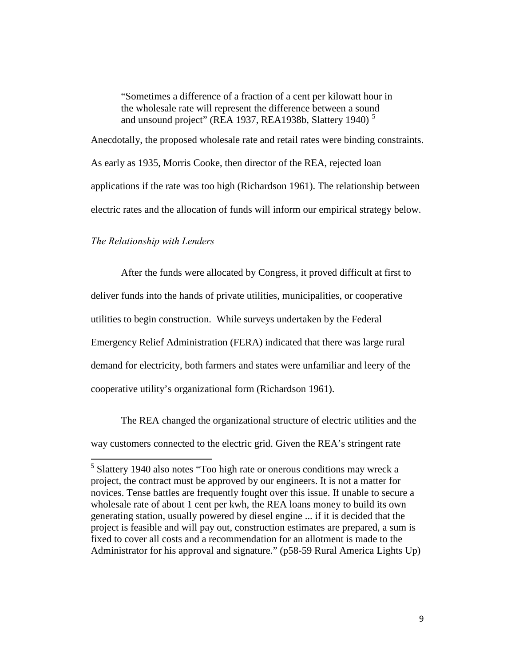"Sometimes a difference of a fraction of a cent per kilowatt hour in the wholesale rate will represent the difference between a sound and unsound project" (REA 1937, REA1938b, Slattery 1940)<sup>[5](#page-9-0)</sup>

Anecdotally, the proposed wholesale rate and retail rates were binding constraints. As early as 1935, Morris Cooke, then director of the REA, rejected loan applications if the rate was too high (Richardson 1961). The relationship between electric rates and the allocation of funds will inform our empirical strategy below.

#### *The Relationship with Lenders*

After the funds were allocated by Congress, it proved difficult at first to deliver funds into the hands of private utilities, municipalities, or cooperative utilities to begin construction. While surveys undertaken by the Federal Emergency Relief Administration (FERA) indicated that there was large rural demand for electricity, both farmers and states were unfamiliar and leery of the cooperative utility's organizational form (Richardson 1961).

The REA changed the organizational structure of electric utilities and the way customers connected to the electric grid. Given the REA's stringent rate

<span id="page-9-0"></span> 5 Slattery 1940 also notes "Too high rate or onerous conditions may wreck a project, the contract must be approved by our engineers. It is not a matter for novices. Tense battles are frequently fought over this issue. If unable to secure a wholesale rate of about 1 cent per kwh, the REA loans money to build its own generating station, usually powered by diesel engine ... if it is decided that the project is feasible and will pay out, construction estimates are prepared, a sum is fixed to cover all costs and a recommendation for an allotment is made to the Administrator for his approval and signature." (p58-59 Rural America Lights Up)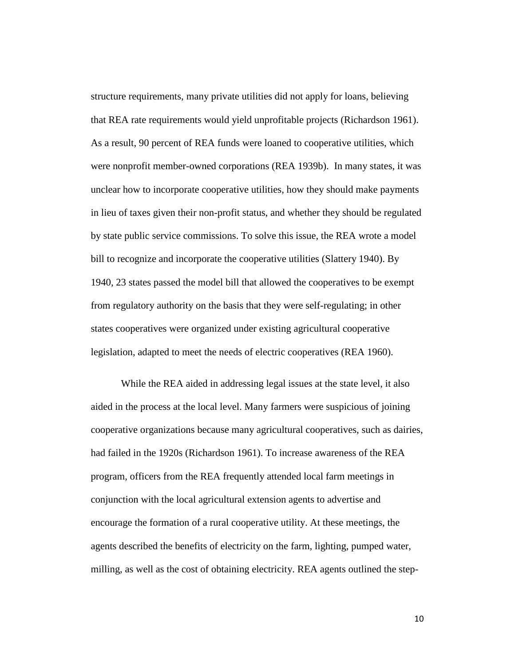structure requirements, many private utilities did not apply for loans, believing that REA rate requirements would yield unprofitable projects (Richardson 1961). As a result, 90 percent of REA funds were loaned to cooperative utilities, which were nonprofit member-owned corporations (REA 1939b). In many states, it was unclear how to incorporate cooperative utilities, how they should make payments in lieu of taxes given their non-profit status, and whether they should be regulated by state public service commissions. To solve this issue, the REA wrote a model bill to recognize and incorporate the cooperative utilities (Slattery 1940). By 1940, 23 states passed the model bill that allowed the cooperatives to be exempt from regulatory authority on the basis that they were self-regulating; in other states cooperatives were organized under existing agricultural cooperative legislation, adapted to meet the needs of electric cooperatives (REA 1960).

While the REA aided in addressing legal issues at the state level, it also aided in the process at the local level. Many farmers were suspicious of joining cooperative organizations because many agricultural cooperatives, such as dairies, had failed in the 1920s (Richardson 1961). To increase awareness of the REA program, officers from the REA frequently attended local farm meetings in conjunction with the local agricultural extension agents to advertise and encourage the formation of a rural cooperative utility. At these meetings, the agents described the benefits of electricity on the farm, lighting, pumped water, milling, as well as the cost of obtaining electricity. REA agents outlined the step-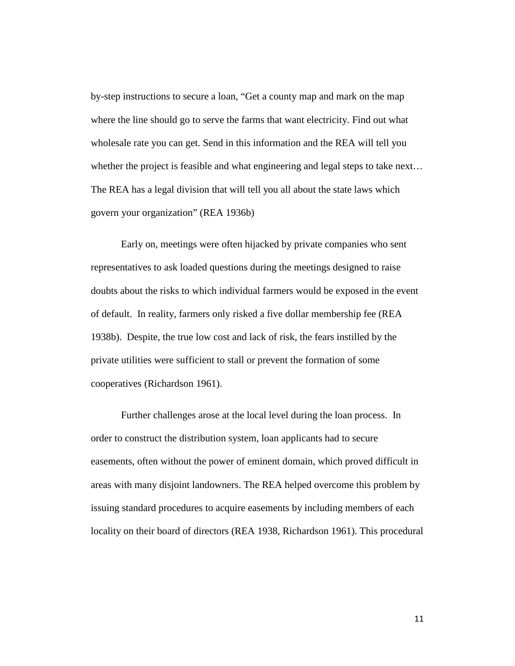by-step instructions to secure a loan, "Get a county map and mark on the map where the line should go to serve the farms that want electricity. Find out what wholesale rate you can get. Send in this information and the REA will tell you whether the project is feasible and what engineering and legal steps to take next... The REA has a legal division that will tell you all about the state laws which govern your organization" (REA 1936b)

 Early on, meetings were often hijacked by private companies who sent representatives to ask loaded questions during the meetings designed to raise doubts about the risks to which individual farmers would be exposed in the event of default. In reality, farmers only risked a five dollar membership fee (REA 1938b). Despite, the true low cost and lack of risk, the fears instilled by the private utilities were sufficient to stall or prevent the formation of some cooperatives (Richardson 1961).

 Further challenges arose at the local level during the loan process. In order to construct the distribution system, loan applicants had to secure easements, often without the power of eminent domain, which proved difficult in areas with many disjoint landowners. The REA helped overcome this problem by issuing standard procedures to acquire easements by including members of each locality on their board of directors (REA 1938, Richardson 1961). This procedural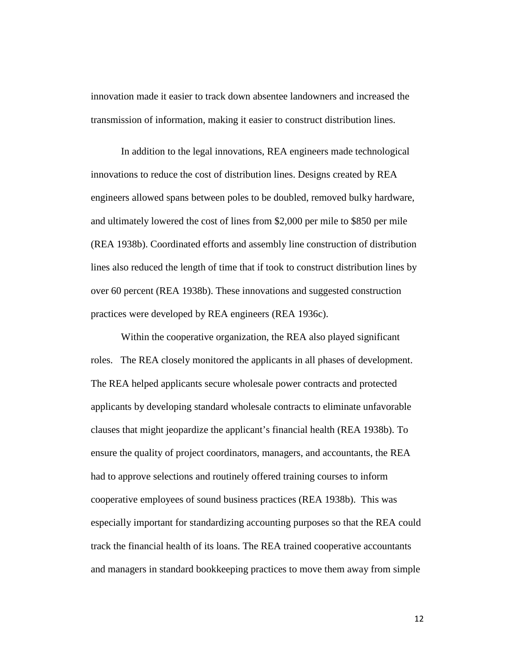innovation made it easier to track down absentee landowners and increased the transmission of information, making it easier to construct distribution lines.

In addition to the legal innovations, REA engineers made technological innovations to reduce the cost of distribution lines. Designs created by REA engineers allowed spans between poles to be doubled, removed bulky hardware, and ultimately lowered the cost of lines from \$2,000 per mile to \$850 per mile (REA 1938b). Coordinated efforts and assembly line construction of distribution lines also reduced the length of time that if took to construct distribution lines by over 60 percent (REA 1938b). These innovations and suggested construction practices were developed by REA engineers (REA 1936c).

 Within the cooperative organization, the REA also played significant roles. The REA closely monitored the applicants in all phases of development. The REA helped applicants secure wholesale power contracts and protected applicants by developing standard wholesale contracts to eliminate unfavorable clauses that might jeopardize the applicant's financial health (REA 1938b). To ensure the quality of project coordinators, managers, and accountants, the REA had to approve selections and routinely offered training courses to inform cooperative employees of sound business practices (REA 1938b). This was especially important for standardizing accounting purposes so that the REA could track the financial health of its loans. The REA trained cooperative accountants and managers in standard bookkeeping practices to move them away from simple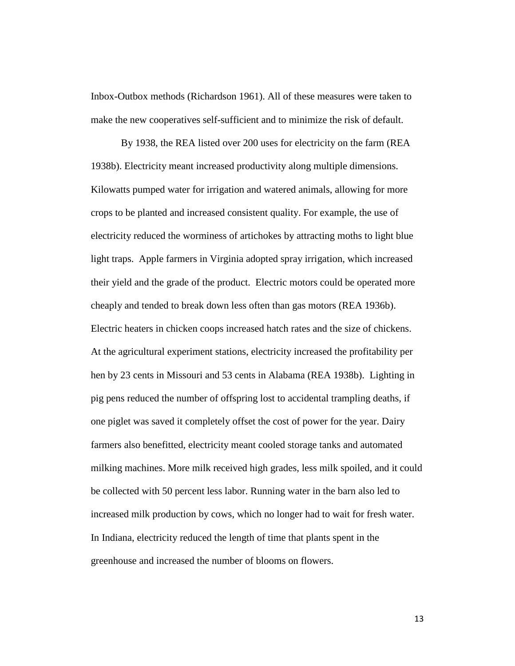Inbox-Outbox methods (Richardson 1961). All of these measures were taken to make the new cooperatives self-sufficient and to minimize the risk of default.

 By 1938, the REA listed over 200 uses for electricity on the farm (REA 1938b). Electricity meant increased productivity along multiple dimensions. Kilowatts pumped water for irrigation and watered animals, allowing for more crops to be planted and increased consistent quality. For example, the use of electricity reduced the worminess of artichokes by attracting moths to light blue light traps. Apple farmers in Virginia adopted spray irrigation, which increased their yield and the grade of the product. Electric motors could be operated more cheaply and tended to break down less often than gas motors (REA 1936b). Electric heaters in chicken coops increased hatch rates and the size of chickens. At the agricultural experiment stations, electricity increased the profitability per hen by 23 cents in Missouri and 53 cents in Alabama (REA 1938b). Lighting in pig pens reduced the number of offspring lost to accidental trampling deaths, if one piglet was saved it completely offset the cost of power for the year. Dairy farmers also benefitted, electricity meant cooled storage tanks and automated milking machines. More milk received high grades, less milk spoiled, and it could be collected with 50 percent less labor. Running water in the barn also led to increased milk production by cows, which no longer had to wait for fresh water. In Indiana, electricity reduced the length of time that plants spent in the greenhouse and increased the number of blooms on flowers.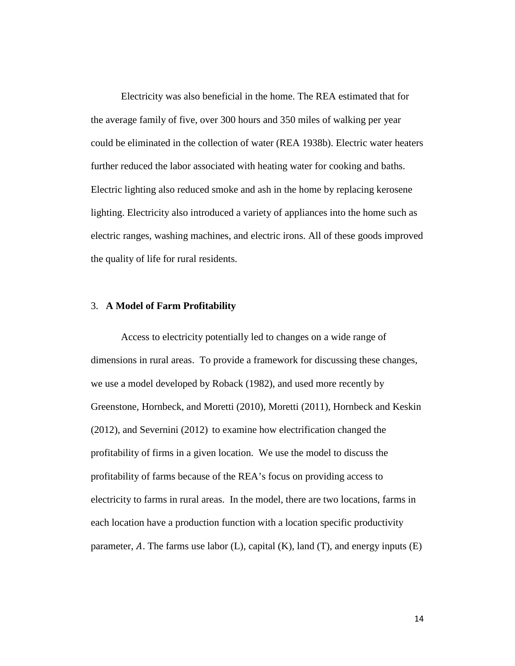Electricity was also beneficial in the home. The REA estimated that for the average family of five, over 300 hours and 350 miles of walking per year could be eliminated in the collection of water (REA 1938b). Electric water heaters further reduced the labor associated with heating water for cooking and baths. Electric lighting also reduced smoke and ash in the home by replacing kerosene lighting. Electricity also introduced a variety of appliances into the home such as electric ranges, washing machines, and electric irons. All of these goods improved the quality of life for rural residents.

#### 3. **A Model of Farm Profitability**

Access to electricity potentially led to changes on a wide range of dimensions in rural areas. To provide a framework for discussing these changes, we use a model developed by Roback (1982), and used more recently by Greenstone, Hornbeck, and Moretti (2010), Moretti (2011), Hornbeck and Keskin (2012), and Severnini (2012) to examine how electrification changed the profitability of firms in a given location. We use the model to discuss the profitability of farms because of the REA's focus on providing access to electricity to farms in rural areas. In the model, there are two locations, farms in each location have a production function with a location specific productivity parameter, A. The farms use labor (L), capital (K), land (T), and energy inputs (E)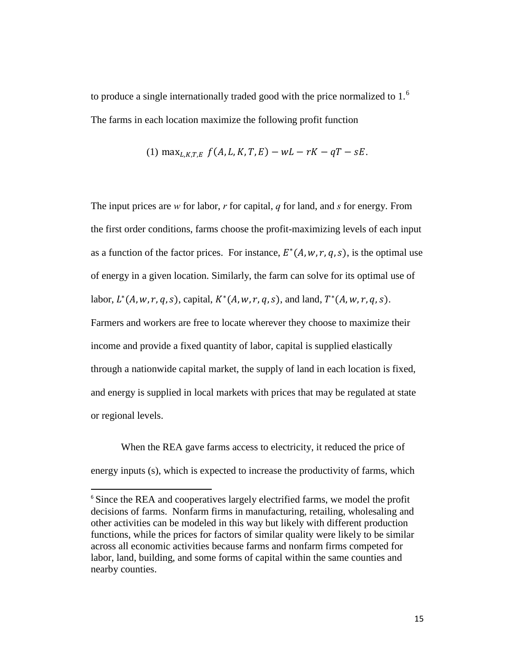to produce a single internationally traded good with the price normalized to 1.<sup>[6](#page-15-0)</sup> The farms in each location maximize the following profit function

(1) 
$$
\max_{L,K,T,E} f(A, L, K, T, E) - wL - rK - qT - sE
$$
.

The input prices are *w* for labor, *r* for capital, *q* for land, and *s* for energy. From the first order conditions, farms choose the profit-maximizing levels of each input as a function of the factor prices. For instance,  $E^*(A, w, r, q, s)$ , is the optimal use of energy in a given location. Similarly, the farm can solve for its optimal use of labor,  $L^*(A, w, r, q, s)$ , capital,  $K^*(A, w, r, q, s)$ , and land,  $T^*(A, w, r, q, s)$ . Farmers and workers are free to locate wherever they choose to maximize their income and provide a fixed quantity of labor, capital is supplied elastically through a nationwide capital market, the supply of land in each location is fixed, and energy is supplied in local markets with prices that may be regulated at state or regional levels.

When the REA gave farms access to electricity, it reduced the price of energy inputs (s), which is expected to increase the productivity of farms, which

 $\overline{\phantom{a}}$ 

<span id="page-15-0"></span><sup>&</sup>lt;sup>6</sup> Since the REA and cooperatives largely electrified farms, we model the profit decisions of farms. Nonfarm firms in manufacturing, retailing, wholesaling and other activities can be modeled in this way but likely with different production functions, while the prices for factors of similar quality were likely to be similar across all economic activities because farms and nonfarm firms competed for labor, land, building, and some forms of capital within the same counties and nearby counties.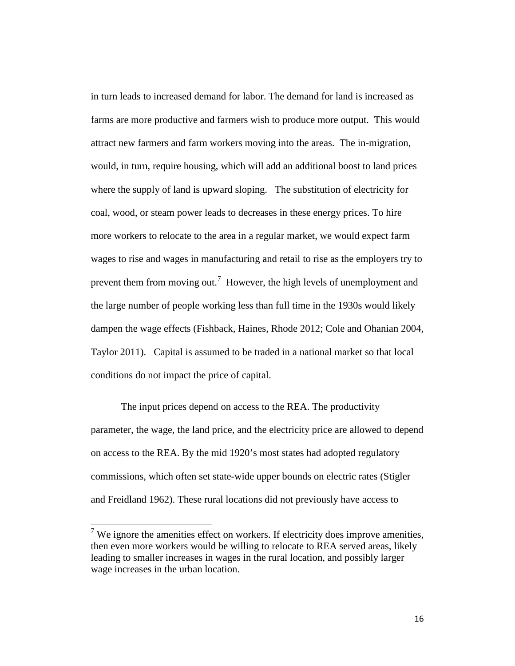in turn leads to increased demand for labor. The demand for land is increased as farms are more productive and farmers wish to produce more output. This would attract new farmers and farm workers moving into the areas. The in-migration, would, in turn, require housing, which will add an additional boost to land prices where the supply of land is upward sloping. The substitution of electricity for coal, wood, or steam power leads to decreases in these energy prices. To hire more workers to relocate to the area in a regular market, we would expect farm wages to rise and wages in manufacturing and retail to rise as the employers try to prevent them from moving out.<sup>[7](#page-16-0)</sup> However, the high levels of unemployment and the large number of people working less than full time in the 1930s would likely dampen the wage effects (Fishback, Haines, Rhode 2012; Cole and Ohanian 2004, Taylor 2011). Capital is assumed to be traded in a national market so that local conditions do not impact the price of capital.

 The input prices depend on access to the REA. The productivity parameter, the wage, the land price, and the electricity price are allowed to depend on access to the REA. By the mid 1920's most states had adopted regulatory commissions, which often set state-wide upper bounds on electric rates (Stigler and Freidland 1962). These rural locations did not previously have access to

 $\overline{\phantom{a}}$ 

<span id="page-16-0"></span><sup>&</sup>lt;sup>7</sup> We ignore the amenities effect on workers. If electricity does improve amenities, then even more workers would be willing to relocate to REA served areas, likely leading to smaller increases in wages in the rural location, and possibly larger wage increases in the urban location.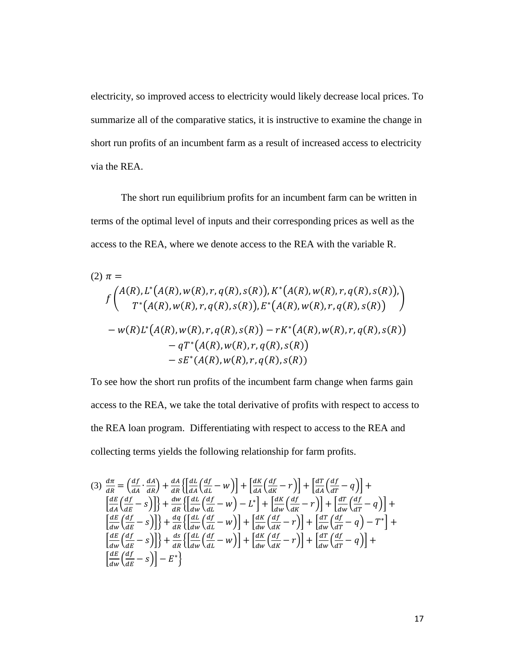electricity, so improved access to electricity would likely decrease local prices. To summarize all of the comparative statics, it is instructive to examine the change in short run profits of an incumbent farm as a result of increased access to electricity via the REA.

The short run equilibrium profits for an incumbent farm can be written in terms of the optimal level of inputs and their corresponding prices as well as the access to the REA, where we denote access to the REA with the variable R.

$$
(2) \ \pi =
$$
\n
$$
f\begin{pmatrix} A(R), L^*(A(R), w(R), r, q(R), s(R)), K^*(A(R), w(R), r, q(R), s(R)), \\ T^*(A(R), w(R), r, q(R), s(R)), E^*(A(R), w(R), r, q(R), s(R)) \end{pmatrix}
$$
\n
$$
- w(R)L^*(A(R), w(R), r, q(R), s(R)) - rK^*(A(R), w(R), r, q(R), s(R))
$$
\n
$$
- sE^*(A(R), w(R), r, q(R), s(R))
$$

To see how the short run profits of the incumbent farm change when farms gain access to the REA, we take the total derivative of profits with respect to access to the REA loan program. Differentiating with respect to access to the REA and collecting terms yields the following relationship for farm profits.

$$
(3) \frac{d\pi}{dR} = \left(\frac{df}{dA} \cdot \frac{dA}{dR}\right) + \frac{dA}{dR} \left\{ \left[\frac{dL}{dA} \left(\frac{df}{dL} - w\right)\right] + \left[\frac{dK}{dA} \left(\frac{df}{dK} - r\right)\right] + \left[\frac{dT}{dA} \left(\frac{df}{dT} - q\right)\right] + \frac{dW}{dR} \left\{ \left[\frac{dL}{dW} \left(\frac{df}{dL} - w\right) - L^*\right] + \left[\frac{dK}{dw} \left(\frac{df}{dK} - r\right)\right] + \left[\frac{dT}{dw} \left(\frac{df}{dT} - q\right)\right] + \frac{dW}{dW} \left\{ \frac{dL}{dW} \left(\frac{df}{dL} - w\right) - L^*\right\} + \left[\frac{dK}{dw} \left(\frac{df}{dK} - r\right)\right] + \left[\frac{dT}{dw} \left(\frac{df}{dT} - q\right) - T^*\right] + \frac{dM}{dW} \left\{ \frac{d}{dW} \left(\frac{df}{dL} - w\right)\right\} + \frac{dM}{dW} \left\{ \frac{d}{dW} \left(\frac{df}{dK} - w\right)\right\} + \left[\frac{dK}{dw} \left(\frac{df}{dK} - r\right)\right] + \left[\frac{dT}{dw} \left(\frac{df}{dT} - q\right) - T^*\right] + \frac{dM}{dW} \left\{ \frac{d}{dW} \left(\frac{df}{dK} - s\right)\right\} - E^*\right\}
$$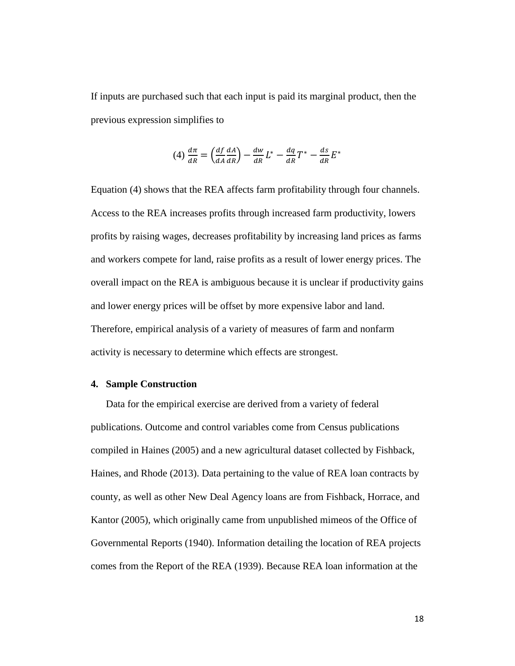If inputs are purchased such that each input is paid its marginal product, then the previous expression simplifies to

$$
(4) \frac{d\pi}{dR} = \left(\frac{df}{dA}\frac{dA}{dR}\right) - \frac{dw}{dR}L^* - \frac{dq}{dR}T^* - \frac{ds}{dR}E^*
$$

Equation (4) shows that the REA affects farm profitability through four channels. Access to the REA increases profits through increased farm productivity, lowers profits by raising wages, decreases profitability by increasing land prices as farms and workers compete for land, raise profits as a result of lower energy prices. The overall impact on the REA is ambiguous because it is unclear if productivity gains and lower energy prices will be offset by more expensive labor and land. Therefore, empirical analysis of a variety of measures of farm and nonfarm activity is necessary to determine which effects are strongest.

#### **4. Sample Construction**

Data for the empirical exercise are derived from a variety of federal publications. Outcome and control variables come from Census publications compiled in Haines (2005) and a new agricultural dataset collected by Fishback, Haines, and Rhode (2013). Data pertaining to the value of REA loan contracts by county, as well as other New Deal Agency loans are from Fishback, Horrace, and Kantor (2005), which originally came from unpublished mimeos of the Office of Governmental Reports (1940). Information detailing the location of REA projects comes from the Report of the REA (1939). Because REA loan information at the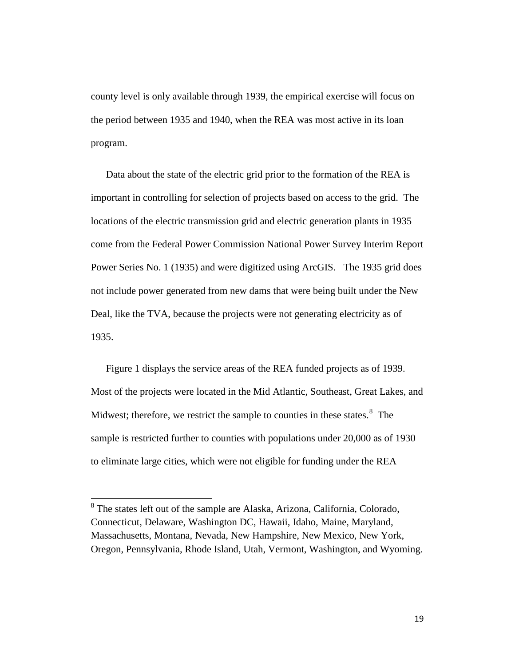county level is only available through 1939, the empirical exercise will focus on the period between 1935 and 1940, when the REA was most active in its loan program.

Data about the state of the electric grid prior to the formation of the REA is important in controlling for selection of projects based on access to the grid. The locations of the electric transmission grid and electric generation plants in 1935 come from the Federal Power Commission National Power Survey Interim Report Power Series No. 1 (1935) and were digitized using ArcGIS. The 1935 grid does not include power generated from new dams that were being built under the New Deal, like the TVA, because the projects were not generating electricity as of 1935.

Figure 1 displays the service areas of the REA funded projects as of 1939. Most of the projects were located in the Mid Atlantic, Southeast, Great Lakes, and Midwest; therefore, we restrict the sample to counties in these states. $8\text{ }$  $8\text{ }$ The sample is restricted further to counties with populations under 20,000 as of 1930 to eliminate large cities, which were not eligible for funding under the REA

l

<span id="page-19-0"></span><sup>&</sup>lt;sup>8</sup> The states left out of the sample are Alaska, Arizona, California, Colorado, Connecticut, Delaware, Washington DC, Hawaii, Idaho, Maine, Maryland, Massachusetts, Montana, Nevada, New Hampshire, New Mexico, New York, Oregon, Pennsylvania, Rhode Island, Utah, Vermont, Washington, and Wyoming.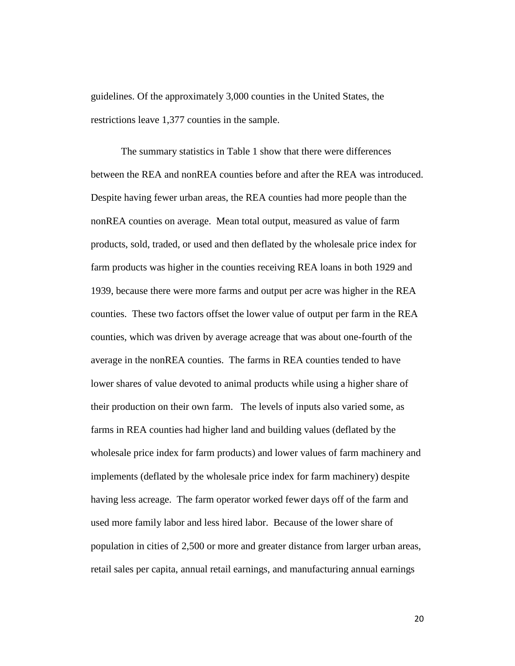guidelines. Of the approximately 3,000 counties in the United States, the restrictions leave 1,377 counties in the sample.

The summary statistics in Table 1 show that there were differences between the REA and nonREA counties before and after the REA was introduced. Despite having fewer urban areas, the REA counties had more people than the nonREA counties on average. Mean total output, measured as value of farm products, sold, traded, or used and then deflated by the wholesale price index for farm products was higher in the counties receiving REA loans in both 1929 and 1939, because there were more farms and output per acre was higher in the REA counties. These two factors offset the lower value of output per farm in the REA counties, which was driven by average acreage that was about one-fourth of the average in the nonREA counties. The farms in REA counties tended to have lower shares of value devoted to animal products while using a higher share of their production on their own farm. The levels of inputs also varied some, as farms in REA counties had higher land and building values (deflated by the wholesale price index for farm products) and lower values of farm machinery and implements (deflated by the wholesale price index for farm machinery) despite having less acreage. The farm operator worked fewer days off of the farm and used more family labor and less hired labor. Because of the lower share of population in cities of 2,500 or more and greater distance from larger urban areas, retail sales per capita, annual retail earnings, and manufacturing annual earnings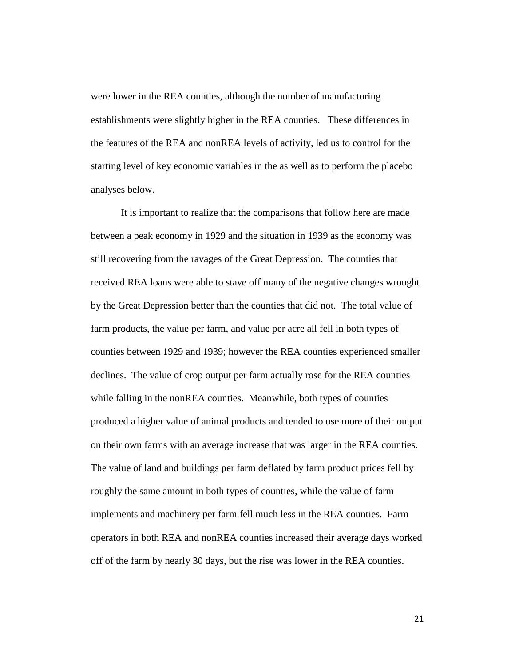were lower in the REA counties, although the number of manufacturing establishments were slightly higher in the REA counties. These differences in the features of the REA and nonREA levels of activity, led us to control for the starting level of key economic variables in the as well as to perform the placebo analyses below.

It is important to realize that the comparisons that follow here are made between a peak economy in 1929 and the situation in 1939 as the economy was still recovering from the ravages of the Great Depression. The counties that received REA loans were able to stave off many of the negative changes wrought by the Great Depression better than the counties that did not. The total value of farm products, the value per farm, and value per acre all fell in both types of counties between 1929 and 1939; however the REA counties experienced smaller declines. The value of crop output per farm actually rose for the REA counties while falling in the nonREA counties. Meanwhile, both types of counties produced a higher value of animal products and tended to use more of their output on their own farms with an average increase that was larger in the REA counties. The value of land and buildings per farm deflated by farm product prices fell by roughly the same amount in both types of counties, while the value of farm implements and machinery per farm fell much less in the REA counties. Farm operators in both REA and nonREA counties increased their average days worked off of the farm by nearly 30 days, but the rise was lower in the REA counties.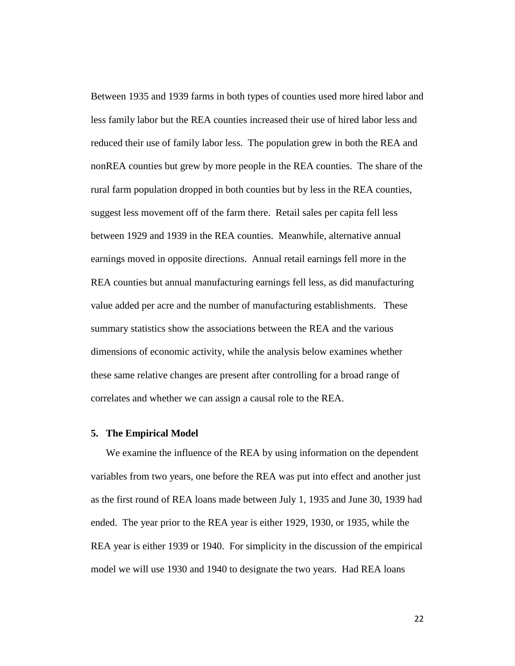Between 1935 and 1939 farms in both types of counties used more hired labor and less family labor but the REA counties increased their use of hired labor less and reduced their use of family labor less. The population grew in both the REA and nonREA counties but grew by more people in the REA counties. The share of the rural farm population dropped in both counties but by less in the REA counties, suggest less movement off of the farm there. Retail sales per capita fell less between 1929 and 1939 in the REA counties. Meanwhile, alternative annual earnings moved in opposite directions. Annual retail earnings fell more in the REA counties but annual manufacturing earnings fell less, as did manufacturing value added per acre and the number of manufacturing establishments. These summary statistics show the associations between the REA and the various dimensions of economic activity, while the analysis below examines whether these same relative changes are present after controlling for a broad range of correlates and whether we can assign a causal role to the REA.

#### **5. The Empirical Model**

We examine the influence of the REA by using information on the dependent variables from two years, one before the REA was put into effect and another just as the first round of REA loans made between July 1, 1935 and June 30, 1939 had ended. The year prior to the REA year is either 1929, 1930, or 1935, while the REA year is either 1939 or 1940. For simplicity in the discussion of the empirical model we will use 1930 and 1940 to designate the two years. Had REA loans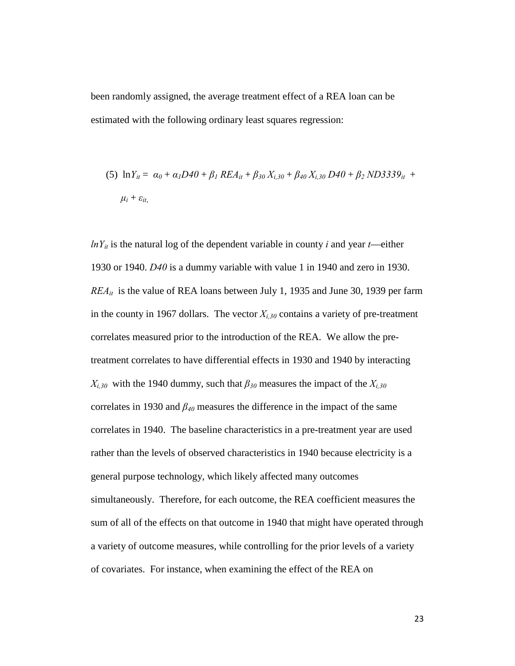been randomly assigned, the average treatment effect of a REA loan can be estimated with the following ordinary least squares regression:

(5) 
$$
\ln Y_{it} = \alpha_0 + \alpha_1 D40 + \beta_1 REA_{it} + \beta_{30} X_{i,30} + \beta_{40} X_{i,30} D40 + \beta_2 N D3339_{it} +
$$
  
 $\mu_i + \varepsilon_{it}$ 

 $lnY_{it}$  is the natural log of the dependent variable in county *i* and year *t*—either 1930 or 1940. *D40* is a dummy variable with value 1 in 1940 and zero in 1930. *REAit* is the value of REA loans between July 1, 1935 and June 30, 1939 per farm in the county in 1967 dollars. The vector  $X_{i,30}$  contains a variety of pre-treatment correlates measured prior to the introduction of the REA. We allow the pretreatment correlates to have differential effects in 1930 and 1940 by interacting  $X_{i,30}$  with the 1940 dummy, such that  $\beta_{30}$  measures the impact of the  $X_{i,30}$ correlates in 1930 and  $\beta_{40}$  measures the difference in the impact of the same correlates in 1940. The baseline characteristics in a pre-treatment year are used rather than the levels of observed characteristics in 1940 because electricity is a general purpose technology, which likely affected many outcomes simultaneously. Therefore, for each outcome, the REA coefficient measures the sum of all of the effects on that outcome in 1940 that might have operated through a variety of outcome measures, while controlling for the prior levels of a variety of covariates. For instance, when examining the effect of the REA on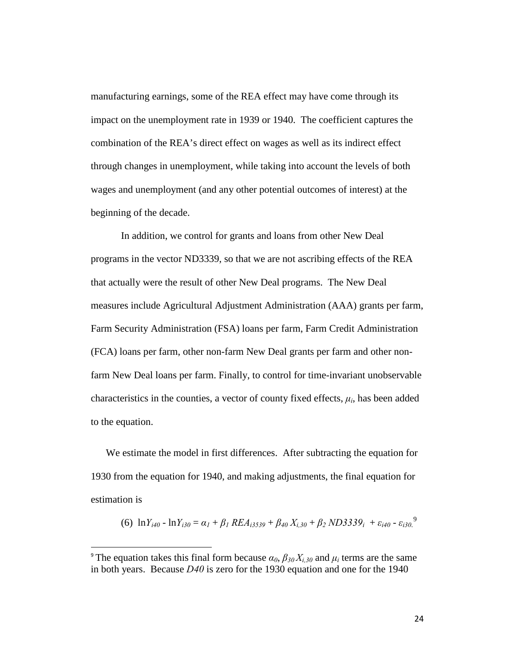manufacturing earnings, some of the REA effect may have come through its impact on the unemployment rate in 1939 or 1940. The coefficient captures the combination of the REA's direct effect on wages as well as its indirect effect through changes in unemployment, while taking into account the levels of both wages and unemployment (and any other potential outcomes of interest) at the beginning of the decade.

 In addition, we control for grants and loans from other New Deal programs in the vector ND3339, so that we are not ascribing effects of the REA that actually were the result of other New Deal programs. The New Deal measures include Agricultural Adjustment Administration (AAA) grants per farm, Farm Security Administration (FSA) loans per farm, Farm Credit Administration (FCA) loans per farm, other non-farm New Deal grants per farm and other nonfarm New Deal loans per farm. Finally, to control for time-invariant unobservable characteristics in the counties, a vector of county fixed effects,  $\mu_i$ , has been added to the equation.

We estimate the model in first differences. After subtracting the equation for 1930 from the equation for 1940, and making adjustments, the final equation for estimation is

$$
(6) \ \ln Y_{i40} - \ln Y_{i30} = \alpha_1 + \beta_1 \, REL_{i3539} + \beta_{40} \, X_{i,30} + \beta_2 \, NDS339_i \ + \varepsilon_{i40} - \varepsilon_{i30}^9
$$

 $\overline{\phantom{a}}$ 

<span id="page-24-0"></span><sup>&</sup>lt;sup>9</sup> The equation takes this final form because  $\alpha_0$ ,  $\beta_{30} X_{i,30}$  and  $\mu_i$  terms are the same in both years. Because *D40* is zero for the 1930 equation and one for the 1940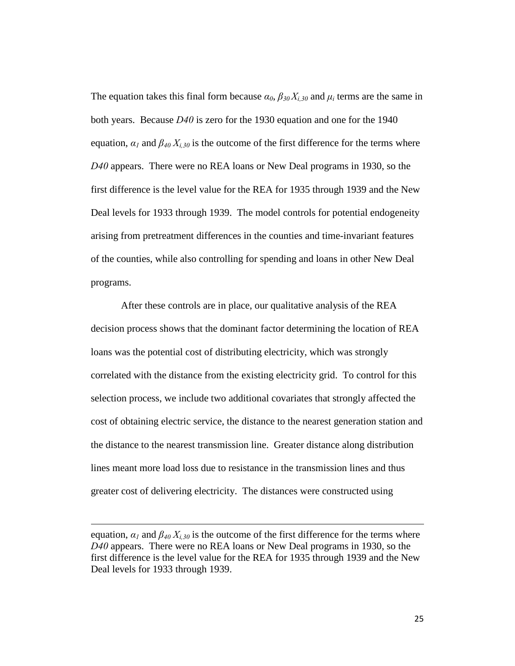The equation takes this final form because  $\alpha_0$ ,  $\beta_{30} X_{i,30}$  and  $\mu_i$  terms are the same in both years. Because *D40* is zero for the 1930 equation and one for the 1940 equation,  $\alpha_l$  and  $\beta_{40} X_{i,30}$  is the outcome of the first difference for the terms where *D40* appears. There were no REA loans or New Deal programs in 1930, so the first difference is the level value for the REA for 1935 through 1939 and the New Deal levels for 1933 through 1939. The model controls for potential endogeneity arising from pretreatment differences in the counties and time-invariant features of the counties, while also controlling for spending and loans in other New Deal programs.

After these controls are in place, our qualitative analysis of the REA decision process shows that the dominant factor determining the location of REA loans was the potential cost of distributing electricity, which was strongly correlated with the distance from the existing electricity grid. To control for this selection process, we include two additional covariates that strongly affected the cost of obtaining electric service, the distance to the nearest generation station and the distance to the nearest transmission line. Greater distance along distribution lines meant more load loss due to resistance in the transmission lines and thus greater cost of delivering electricity. The distances were constructed using

 $\overline{\phantom{a}}$ 

equation,  $\alpha_1$  and  $\beta_{40}$   $X_{i,30}$  is the outcome of the first difference for the terms where *D40* appears. There were no REA loans or New Deal programs in 1930, so the first difference is the level value for the REA for 1935 through 1939 and the New Deal levels for 1933 through 1939.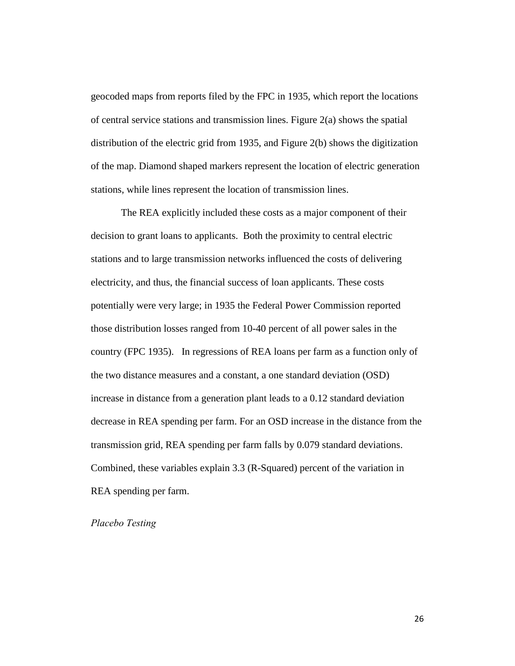geocoded maps from reports filed by the FPC in 1935, which report the locations of central service stations and transmission lines. Figure 2(a) shows the spatial distribution of the electric grid from 1935, and Figure 2(b) shows the digitization of the map. Diamond shaped markers represent the location of electric generation stations, while lines represent the location of transmission lines.

The REA explicitly included these costs as a major component of their decision to grant loans to applicants. Both the proximity to central electric stations and to large transmission networks influenced the costs of delivering electricity, and thus, the financial success of loan applicants. These costs potentially were very large; in 1935 the Federal Power Commission reported those distribution losses ranged from 10-40 percent of all power sales in the country (FPC 1935). In regressions of REA loans per farm as a function only of the two distance measures and a constant, a one standard deviation (OSD) increase in distance from a generation plant leads to a 0.12 standard deviation decrease in REA spending per farm. For an OSD increase in the distance from the transmission grid, REA spending per farm falls by 0.079 standard deviations. Combined, these variables explain 3.3 (R-Squared) percent of the variation in REA spending per farm.

#### *Placebo Testing*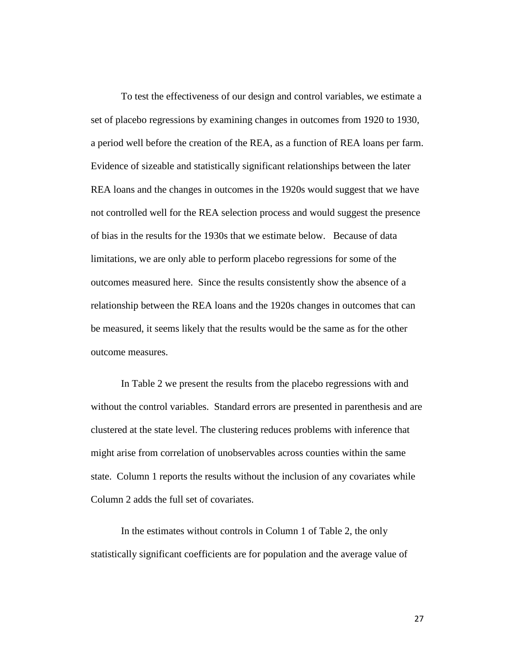To test the effectiveness of our design and control variables, we estimate a set of placebo regressions by examining changes in outcomes from 1920 to 1930, a period well before the creation of the REA, as a function of REA loans per farm. Evidence of sizeable and statistically significant relationships between the later REA loans and the changes in outcomes in the 1920s would suggest that we have not controlled well for the REA selection process and would suggest the presence of bias in the results for the 1930s that we estimate below. Because of data limitations, we are only able to perform placebo regressions for some of the outcomes measured here. Since the results consistently show the absence of a relationship between the REA loans and the 1920s changes in outcomes that can be measured, it seems likely that the results would be the same as for the other outcome measures.

 In Table 2 we present the results from the placebo regressions with and without the control variables. Standard errors are presented in parenthesis and are clustered at the state level. The clustering reduces problems with inference that might arise from correlation of unobservables across counties within the same state. Column 1 reports the results without the inclusion of any covariates while Column 2 adds the full set of covariates.

 In the estimates without controls in Column 1 of Table 2, the only statistically significant coefficients are for population and the average value of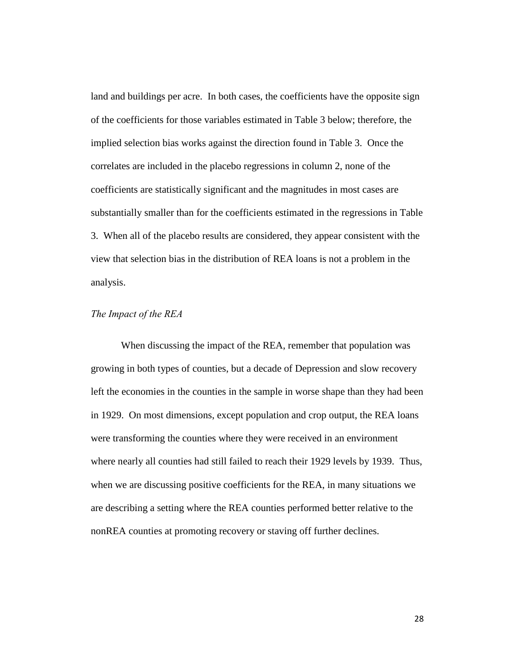land and buildings per acre. In both cases, the coefficients have the opposite sign of the coefficients for those variables estimated in Table 3 below; therefore, the implied selection bias works against the direction found in Table 3. Once the correlates are included in the placebo regressions in column 2, none of the coefficients are statistically significant and the magnitudes in most cases are substantially smaller than for the coefficients estimated in the regressions in Table 3. When all of the placebo results are considered, they appear consistent with the view that selection bias in the distribution of REA loans is not a problem in the analysis.

#### *The Impact of the REA*

When discussing the impact of the REA, remember that population was growing in both types of counties, but a decade of Depression and slow recovery left the economies in the counties in the sample in worse shape than they had been in 1929. On most dimensions, except population and crop output, the REA loans were transforming the counties where they were received in an environment where nearly all counties had still failed to reach their 1929 levels by 1939. Thus, when we are discussing positive coefficients for the REA, in many situations we are describing a setting where the REA counties performed better relative to the nonREA counties at promoting recovery or staving off further declines.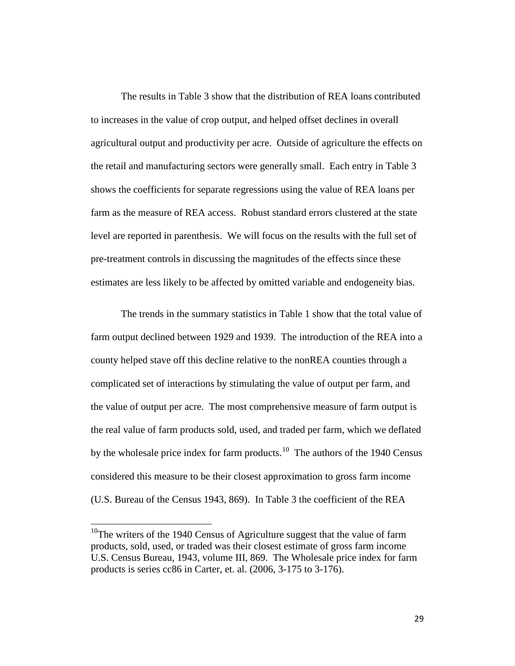The results in Table 3 show that the distribution of REA loans contributed to increases in the value of crop output, and helped offset declines in overall agricultural output and productivity per acre. Outside of agriculture the effects on the retail and manufacturing sectors were generally small. Each entry in Table 3 shows the coefficients for separate regressions using the value of REA loans per farm as the measure of REA access. Robust standard errors clustered at the state level are reported in parenthesis. We will focus on the results with the full set of pre-treatment controls in discussing the magnitudes of the effects since these estimates are less likely to be affected by omitted variable and endogeneity bias.

The trends in the summary statistics in Table 1 show that the total value of farm output declined between 1929 and 1939. The introduction of the REA into a county helped stave off this decline relative to the nonREA counties through a complicated set of interactions by stimulating the value of output per farm, and the value of output per acre. The most comprehensive measure of farm output is the real value of farm products sold, used, and traded per farm, which we deflated by the wholesale price index for farm products.<sup>10</sup> The authors of the 1940 Census considered this measure to be their closest approximation to gross farm income (U.S. Bureau of the Census 1943, 869). In Table 3 the coefficient of the REA

 $\overline{\phantom{a}}$ 

<span id="page-29-0"></span> $10$ <sup>10</sup>The writers of the 1940 Census of Agriculture suggest that the value of farm products, sold, used, or traded was their closest estimate of gross farm income U.S. Census Bureau, 1943, volume III, 869. The Wholesale price index for farm products is series cc86 in Carter, et. al. (2006, 3-175 to 3-176).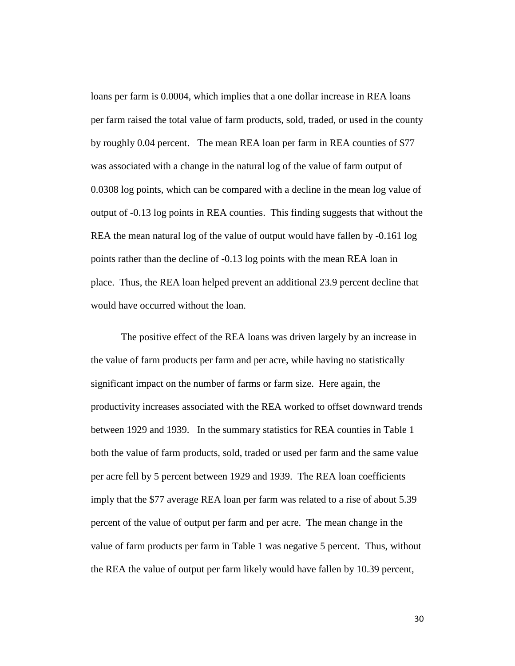loans per farm is 0.0004, which implies that a one dollar increase in REA loans per farm raised the total value of farm products, sold, traded, or used in the county by roughly 0.04 percent. The mean REA loan per farm in REA counties of \$77 was associated with a change in the natural log of the value of farm output of 0.0308 log points, which can be compared with a decline in the mean log value of output of -0.13 log points in REA counties. This finding suggests that without the REA the mean natural log of the value of output would have fallen by -0.161 log points rather than the decline of -0.13 log points with the mean REA loan in place. Thus, the REA loan helped prevent an additional 23.9 percent decline that would have occurred without the loan.

The positive effect of the REA loans was driven largely by an increase in the value of farm products per farm and per acre, while having no statistically significant impact on the number of farms or farm size. Here again, the productivity increases associated with the REA worked to offset downward trends between 1929 and 1939. In the summary statistics for REA counties in Table 1 both the value of farm products, sold, traded or used per farm and the same value per acre fell by 5 percent between 1929 and 1939. The REA loan coefficients imply that the \$77 average REA loan per farm was related to a rise of about 5.39 percent of the value of output per farm and per acre. The mean change in the value of farm products per farm in Table 1 was negative 5 percent. Thus, without the REA the value of output per farm likely would have fallen by 10.39 percent,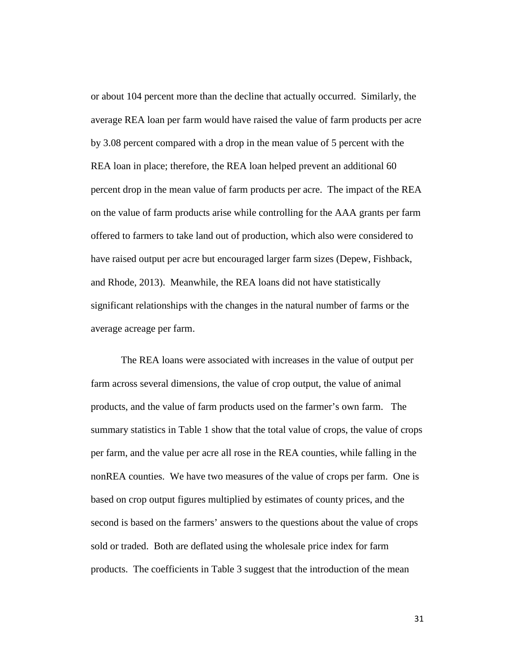or about 104 percent more than the decline that actually occurred. Similarly, the average REA loan per farm would have raised the value of farm products per acre by 3.08 percent compared with a drop in the mean value of 5 percent with the REA loan in place; therefore, the REA loan helped prevent an additional 60 percent drop in the mean value of farm products per acre. The impact of the REA on the value of farm products arise while controlling for the AAA grants per farm offered to farmers to take land out of production, which also were considered to have raised output per acre but encouraged larger farm sizes (Depew, Fishback, and Rhode, 2013). Meanwhile, the REA loans did not have statistically significant relationships with the changes in the natural number of farms or the average acreage per farm.

The REA loans were associated with increases in the value of output per farm across several dimensions, the value of crop output, the value of animal products, and the value of farm products used on the farmer's own farm. The summary statistics in Table 1 show that the total value of crops, the value of crops per farm, and the value per acre all rose in the REA counties, while falling in the nonREA counties. We have two measures of the value of crops per farm. One is based on crop output figures multiplied by estimates of county prices, and the second is based on the farmers' answers to the questions about the value of crops sold or traded. Both are deflated using the wholesale price index for farm products. The coefficients in Table 3 suggest that the introduction of the mean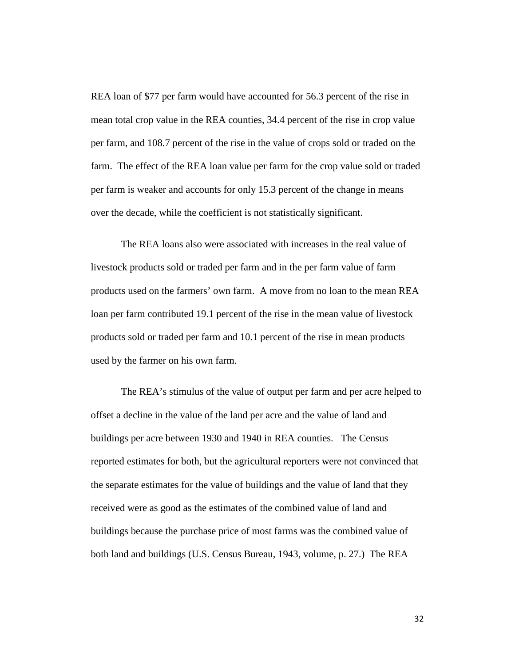REA loan of \$77 per farm would have accounted for 56.3 percent of the rise in mean total crop value in the REA counties, 34.4 percent of the rise in crop value per farm, and 108.7 percent of the rise in the value of crops sold or traded on the farm. The effect of the REA loan value per farm for the crop value sold or traded per farm is weaker and accounts for only 15.3 percent of the change in means over the decade, while the coefficient is not statistically significant.

The REA loans also were associated with increases in the real value of livestock products sold or traded per farm and in the per farm value of farm products used on the farmers' own farm. A move from no loan to the mean REA loan per farm contributed 19.1 percent of the rise in the mean value of livestock products sold or traded per farm and 10.1 percent of the rise in mean products used by the farmer on his own farm.

The REA's stimulus of the value of output per farm and per acre helped to offset a decline in the value of the land per acre and the value of land and buildings per acre between 1930 and 1940 in REA counties. The Census reported estimates for both, but the agricultural reporters were not convinced that the separate estimates for the value of buildings and the value of land that they received were as good as the estimates of the combined value of land and buildings because the purchase price of most farms was the combined value of both land and buildings (U.S. Census Bureau, 1943, volume, p. 27.) The REA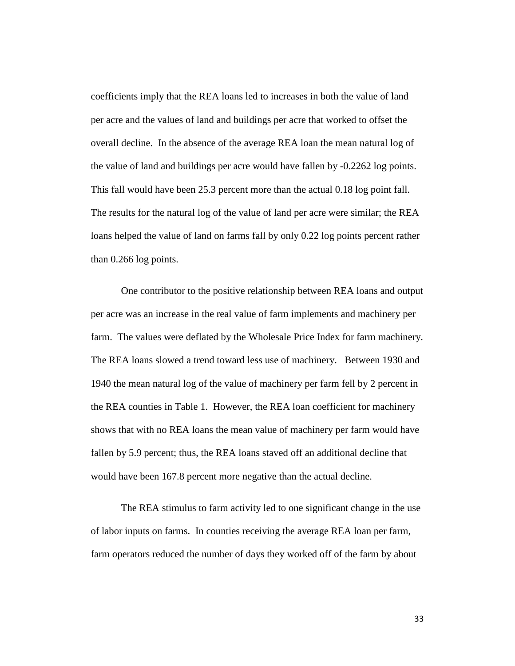coefficients imply that the REA loans led to increases in both the value of land per acre and the values of land and buildings per acre that worked to offset the overall decline. In the absence of the average REA loan the mean natural log of the value of land and buildings per acre would have fallen by -0.2262 log points. This fall would have been 25.3 percent more than the actual 0.18 log point fall. The results for the natural log of the value of land per acre were similar; the REA loans helped the value of land on farms fall by only 0.22 log points percent rather than 0.266 log points.

One contributor to the positive relationship between REA loans and output per acre was an increase in the real value of farm implements and machinery per farm. The values were deflated by the Wholesale Price Index for farm machinery. The REA loans slowed a trend toward less use of machinery. Between 1930 and 1940 the mean natural log of the value of machinery per farm fell by 2 percent in the REA counties in Table 1. However, the REA loan coefficient for machinery shows that with no REA loans the mean value of machinery per farm would have fallen by 5.9 percent; thus, the REA loans staved off an additional decline that would have been 167.8 percent more negative than the actual decline.

The REA stimulus to farm activity led to one significant change in the use of labor inputs on farms. In counties receiving the average REA loan per farm, farm operators reduced the number of days they worked off of the farm by about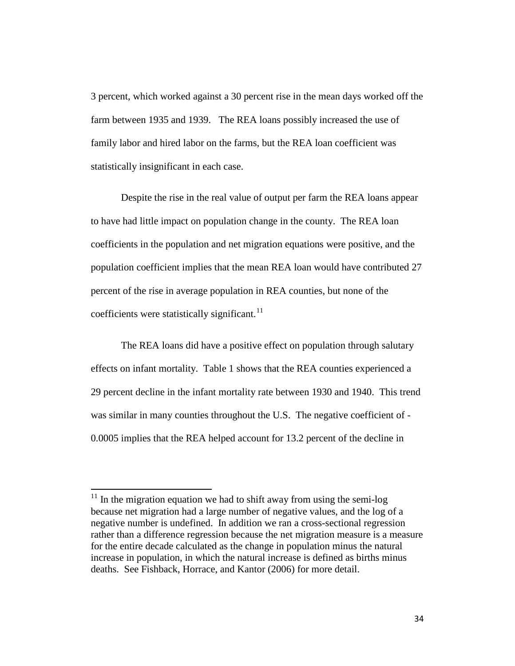3 percent, which worked against a 30 percent rise in the mean days worked off the farm between 1935 and 1939. The REA loans possibly increased the use of family labor and hired labor on the farms, but the REA loan coefficient was statistically insignificant in each case.

Despite the rise in the real value of output per farm the REA loans appear to have had little impact on population change in the county. The REA loan coefficients in the population and net migration equations were positive, and the population coefficient implies that the mean REA loan would have contributed 27 percent of the rise in average population in REA counties, but none of the coefficients were statistically significant. $^{11}$  $^{11}$  $^{11}$ 

The REA loans did have a positive effect on population through salutary effects on infant mortality. Table 1 shows that the REA counties experienced a 29 percent decline in the infant mortality rate between 1930 and 1940. This trend was similar in many counties throughout the U.S. The negative coefficient of - 0.0005 implies that the REA helped account for 13.2 percent of the decline in

l

<span id="page-34-0"></span> $11$  In the migration equation we had to shift away from using the semi-log because net migration had a large number of negative values, and the log of a negative number is undefined. In addition we ran a cross-sectional regression rather than a difference regression because the net migration measure is a measure for the entire decade calculated as the change in population minus the natural increase in population, in which the natural increase is defined as births minus deaths. See Fishback, Horrace, and Kantor (2006) for more detail.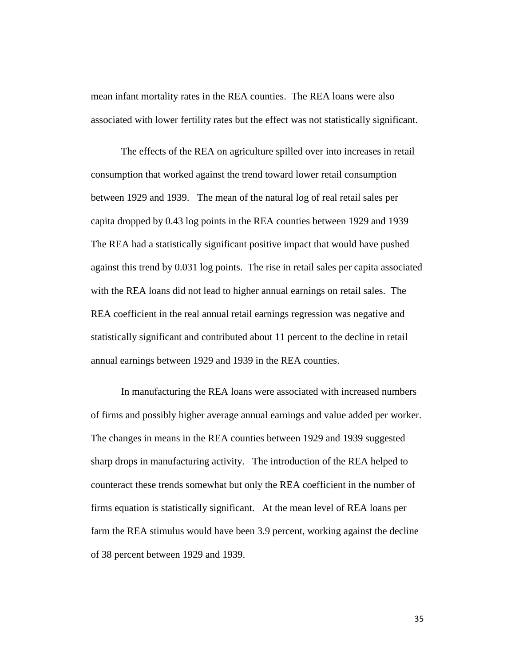mean infant mortality rates in the REA counties. The REA loans were also associated with lower fertility rates but the effect was not statistically significant.

The effects of the REA on agriculture spilled over into increases in retail consumption that worked against the trend toward lower retail consumption between 1929 and 1939. The mean of the natural log of real retail sales per capita dropped by 0.43 log points in the REA counties between 1929 and 1939 The REA had a statistically significant positive impact that would have pushed against this trend by 0.031 log points. The rise in retail sales per capita associated with the REA loans did not lead to higher annual earnings on retail sales. The REA coefficient in the real annual retail earnings regression was negative and statistically significant and contributed about 11 percent to the decline in retail annual earnings between 1929 and 1939 in the REA counties.

In manufacturing the REA loans were associated with increased numbers of firms and possibly higher average annual earnings and value added per worker. The changes in means in the REA counties between 1929 and 1939 suggested sharp drops in manufacturing activity. The introduction of the REA helped to counteract these trends somewhat but only the REA coefficient in the number of firms equation is statistically significant. At the mean level of REA loans per farm the REA stimulus would have been 3.9 percent, working against the decline of 38 percent between 1929 and 1939.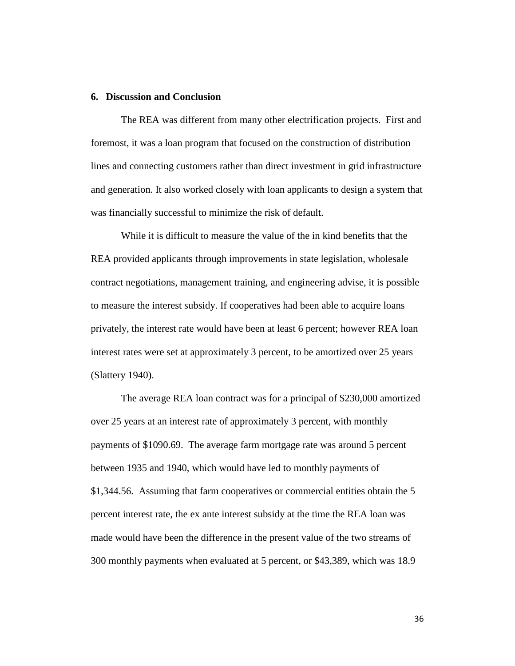#### **6. Discussion and Conclusion**

The REA was different from many other electrification projects. First and foremost, it was a loan program that focused on the construction of distribution lines and connecting customers rather than direct investment in grid infrastructure and generation. It also worked closely with loan applicants to design a system that was financially successful to minimize the risk of default.

While it is difficult to measure the value of the in kind benefits that the REA provided applicants through improvements in state legislation, wholesale contract negotiations, management training, and engineering advise, it is possible to measure the interest subsidy. If cooperatives had been able to acquire loans privately, the interest rate would have been at least 6 percent; however REA loan interest rates were set at approximately 3 percent, to be amortized over 25 years (Slattery 1940).

 The average REA loan contract was for a principal of \$230,000 amortized over 25 years at an interest rate of approximately 3 percent, with monthly payments of \$1090.69. The average farm mortgage rate was around 5 percent between 1935 and 1940, which would have led to monthly payments of \$1,344.56. Assuming that farm cooperatives or commercial entities obtain the 5 percent interest rate, the ex ante interest subsidy at the time the REA loan was made would have been the difference in the present value of the two streams of 300 monthly payments when evaluated at 5 percent, or \$43,389, which was 18.9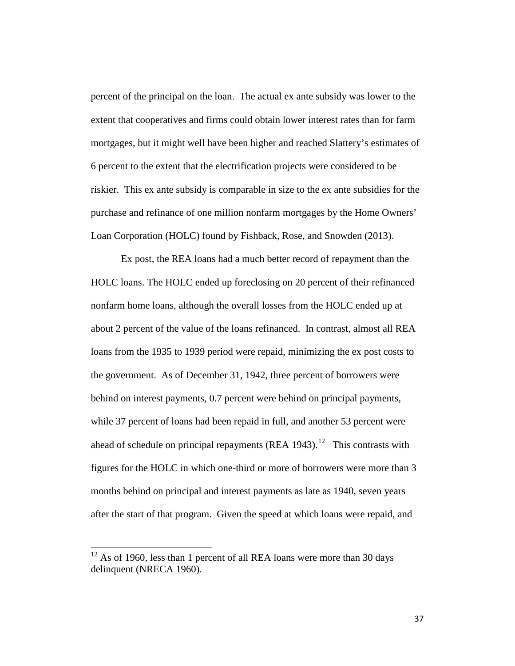percent of the principal on the loan. The actual ex ante subsidy was lower to the extent that cooperatives and firms could obtain lower interest rates than for farm mortgages, but it might well have been higher and reached Slattery's estimates of 6 percent to the extent that the electrification projects were considered to be riskier. This ex ante subsidy is comparable in size to the ex ante subsidies for the purchase and refinance of one million nonfarm mortgages by the Home Owners' Loan Corporation (HOLC) found by Fishback, Rose, and Snowden (2013).

 Ex post, the REA loans had a much better record of repayment than the HOLC loans. The HOLC ended up foreclosing on 20 percent of their refinanced nonfarm home loans, although the overall losses from the HOLC ended up at about 2 percent of the value of the loans refinanced. In contrast, almost all REA loans from the 1935 to 1939 period were repaid, minimizing the ex post costs to the government. As of December 31, 1942, three percent of borrowers were behind on interest payments, 0.7 percent were behind on principal payments, while 37 percent of loans had been repaid in full, and another 53 percent were ahead of schedule on principal repayments (REA  $1943$ ).<sup>12</sup> This contrasts with figures for the HOLC in which one-third or more of borrowers were more than 3 months behind on principal and interest payments as late as 1940, seven years after the start of that program. Given the speed at which loans were repaid, and

l

<span id="page-37-0"></span> $12$  As of 1960, less than 1 percent of all REA loans were more than 30 days delinquent (NRECA 1960).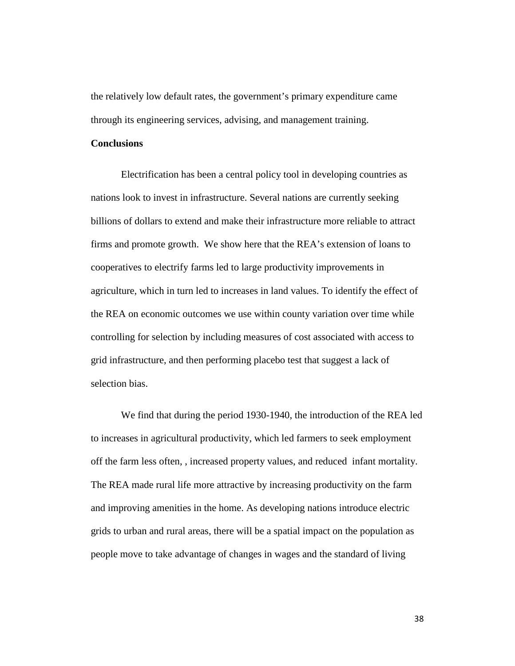the relatively low default rates, the government's primary expenditure came through its engineering services, advising, and management training.

#### **Conclusions**

Electrification has been a central policy tool in developing countries as nations look to invest in infrastructure. Several nations are currently seeking billions of dollars to extend and make their infrastructure more reliable to attract firms and promote growth. We show here that the REA's extension of loans to cooperatives to electrify farms led to large productivity improvements in agriculture, which in turn led to increases in land values. To identify the effect of the REA on economic outcomes we use within county variation over time while controlling for selection by including measures of cost associated with access to grid infrastructure, and then performing placebo test that suggest a lack of selection bias.

We find that during the period 1930-1940, the introduction of the REA led to increases in agricultural productivity, which led farmers to seek employment off the farm less often, , increased property values, and reduced infant mortality. The REA made rural life more attractive by increasing productivity on the farm and improving amenities in the home. As developing nations introduce electric grids to urban and rural areas, there will be a spatial impact on the population as people move to take advantage of changes in wages and the standard of living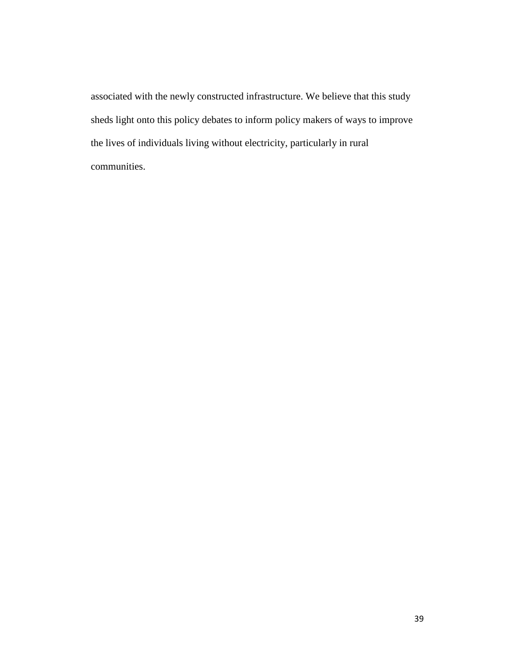associated with the newly constructed infrastructure. We believe that this study sheds light onto this policy debates to inform policy makers of ways to improve the lives of individuals living without electricity, particularly in rural communities.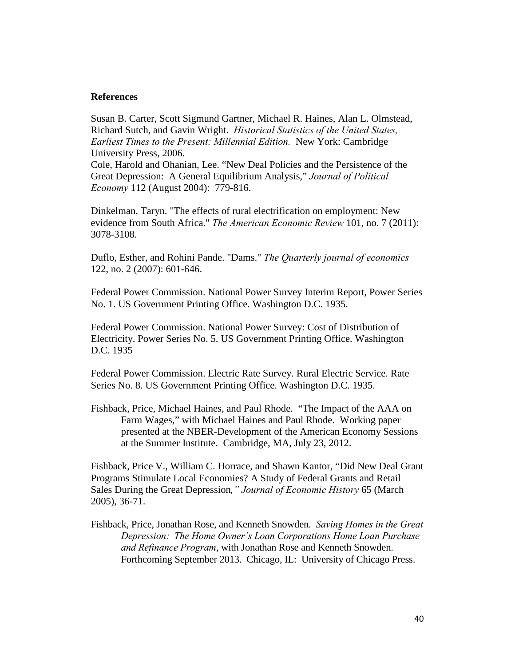#### **References**

Susan B. Carter, Scott Sigmund Gartner, Michael R. Haines, Alan L. Olmstead, Richard Sutch, and Gavin Wright. *Historical Statistics of the United States, Earliest Times to the Present: Millennial Edition.* New York: Cambridge University Press, 2006.

Cole, Harold and Ohanian, Lee. "New Deal Policies and the Persistence of the Great Depression: A General Equilibrium Analysis," *Journal of Political Economy* 112 (August 2004): 779-816.

Dinkelman, Taryn. "The effects of rural electrification on employment: New evidence from South Africa." *The American Economic Review* 101, no. 7 (2011): 3078-3108.

Duflo, Esther, and Rohini Pande. "Dams." *The Quarterly journal of economics* 122, no. 2 (2007): 601-646.

Federal Power Commission. National Power Survey Interim Report, Power Series No. 1. US Government Printing Office. Washington D.C. 1935.

Federal Power Commission. National Power Survey: Cost of Distribution of Electricity. Power Series No. 5. US Government Printing Office. Washington D.C. 1935

Federal Power Commission. Electric Rate Survey. Rural Electric Service. Rate Series No. 8. US Government Printing Office. Washington D.C. 1935.

Fishback, Price, Michael Haines, and Paul Rhode. "The Impact of the AAA on Farm Wages," with Michael Haines and Paul Rhode. Working paper presented at the NBER-Development of the American Economy Sessions at the Summer Institute. Cambridge, MA, July 23, 2012.

Fishback, Price V., William C. Horrace, and Shawn Kantor, "Did New Deal Grant Programs Stimulate Local Economies? A Study of Federal Grants and Retail Sales During the Great Depression*," Journal of Economic History* 65 (March 2005), 36-71.

Fishback, Price, Jonathan Rose, and Kenneth Snowden. *Saving Homes in the Great Depression: The Home Owner's Loan Corporations Home Loan Purchase and Refinance Program*, with Jonathan Rose and Kenneth Snowden. Forthcoming September 2013. Chicago, IL: University of Chicago Press.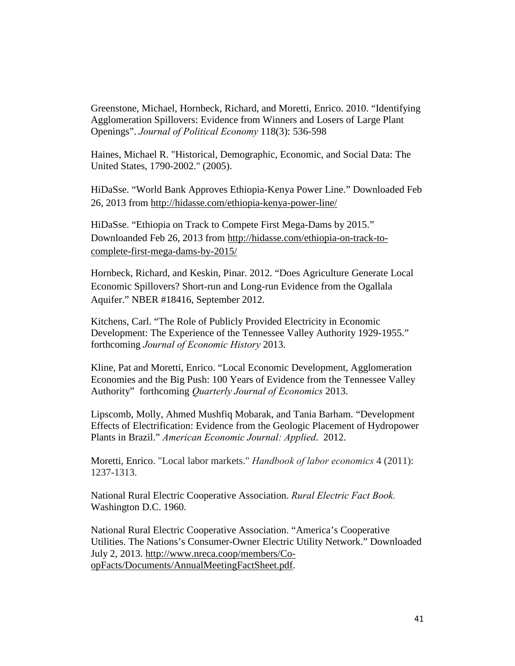Greenstone, Michael, Hornbeck, Richard, and Moretti, Enrico. 2010. ["Identifying](http://scholar.harvard.edu/hornbeck/publications/identifying-agglomeration-spillovers-evidence-winners-and-losers-large-plant-)  [Agglomeration Spillovers: Evidence from Winners and Losers of Large Plant](http://scholar.harvard.edu/hornbeck/publications/identifying-agglomeration-spillovers-evidence-winners-and-losers-large-plant-)  [Openings"](http://scholar.harvard.edu/hornbeck/publications/identifying-agglomeration-spillovers-evidence-winners-and-losers-large-plant-). *Journal of Political Economy* 118(3): 536-598

Haines, Michael R. "Historical, Demographic, Economic, and Social Data: The United States, 1790-2002." (2005).

HiDaSse. "World Bank Approves Ethiopia-Kenya Power Line." Downloaded Feb 26, 2013 from<http://hidasse.com/ethiopia-kenya-power-line/>

HiDaSse. "Ethiopia on Track to Compete First Mega-Dams by 2015." Downloanded Feb 26, 2013 from [http://hidasse.com/ethiopia-on-track-to](http://hidasse.com/ethiopia-on-track-to-complete-first-mega-dams-by-2015/)[complete-first-mega-dams-by-2015/](http://hidasse.com/ethiopia-on-track-to-complete-first-mega-dams-by-2015/)

Hornbeck, Richard, and Keskin, Pinar. 2012. ["Does Agriculture Generate Local](http://scholar.harvard.edu/hornbeck/publications/does-agriculture-generate-local-economic-spillovers-short-run-and-long-run-evi)  [Economic Spillovers? Short-run and Long-run Evidence from the Ogallala](http://scholar.harvard.edu/hornbeck/publications/does-agriculture-generate-local-economic-spillovers-short-run-and-long-run-evi)  [Aquifer."](http://scholar.harvard.edu/hornbeck/publications/does-agriculture-generate-local-economic-spillovers-short-run-and-long-run-evi) [NBER #18416, September 2012.](http://scholar.harvard.edu/files/hornbeck/files/hk_agspillovers_sept2012.pdf)

Kitchens, Carl. "The Role of Publicly Provided Electricity in Economic Development: The Experience of the Tennessee Valley Authority 1929-1955." forthcoming *Journal of Economic History* 2013.

Kline, Pat and Moretti, Enrico. "Local Economic Development, Agglomeration Economies and the Big Push: 100 Years of Evidence from the Tennessee Valley Authority" forthcoming *Quarterly Journal of Economics* 2013.

Lipscomb, Molly, Ahmed Mushfiq Mobarak, and Tania Barham. "Development Effects of Electrification: Evidence from the Geologic Placement of Hydropower Plants in Brazil." *American Economic Journal: Applied*. 2012.

Moretti, Enrico. "Local labor markets." *Handbook of labor economics* 4 (2011): 1237-1313.

National Rural Electric Cooperative Association. *Rural Electric Fact Book.* Washington D.C. 1960.

National Rural Electric Cooperative Association. "America's Cooperative Utilities. The Nations's Consumer-Owner Electric Utility Network." Downloaded July 2, 2013. [http://www.nreca.coop/members/Co](http://www.nreca.coop/members/Co-opFacts/Documents/AnnualMeetingFactSheet.pdf)[opFacts/Documents/AnnualMeetingFactSheet.pdf.](http://www.nreca.coop/members/Co-opFacts/Documents/AnnualMeetingFactSheet.pdf)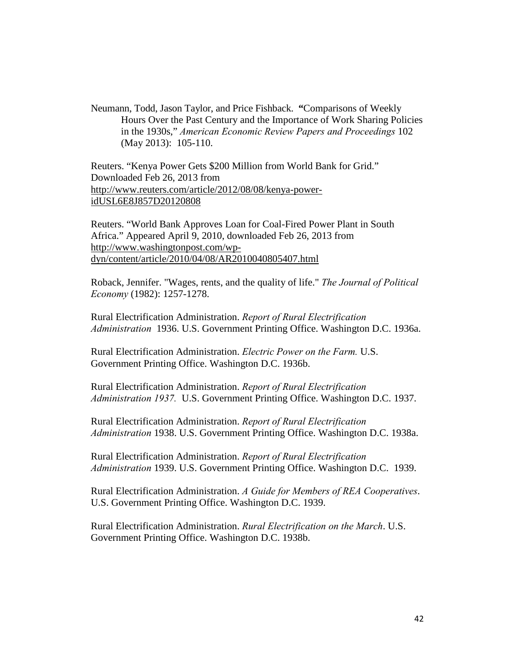Neumann, Todd, Jason Taylor, and Price Fishback. **"**Comparisons of Weekly Hours Over the Past Century and the Importance of Work Sharing Policies in the 1930s," *American Economic Review Papers and Proceedings* 102 (May 2013): 105-110.

Reuters. "Kenya Power Gets \$200 Million from World Bank for Grid." Downloaded Feb 26, 2013 from [http://www.reuters.com/article/2012/08/08/kenya-power](http://www.reuters.com/article/2012/08/08/kenya-power-idUSL6E8J857D20120808)[idUSL6E8J857D20120808](http://www.reuters.com/article/2012/08/08/kenya-power-idUSL6E8J857D20120808)

Reuters. "World Bank Approves Loan for Coal-Fired Power Plant in South Africa." Appeared April 9, 2010, downloaded Feb 26, 2013 from [http://www.washingtonpost.com/wp](http://www.washingtonpost.com/wp-dyn/content/article/2010/04/08/AR2010040805407.html)[dyn/content/article/2010/04/08/AR2010040805407.html](http://www.washingtonpost.com/wp-dyn/content/article/2010/04/08/AR2010040805407.html)

Roback, Jennifer. "Wages, rents, and the quality of life." *The Journal of Political Economy* (1982): 1257-1278.

Rural Electrification Administration. *Report of Rural Electrification Administration* 1936. U.S. Government Printing Office. Washington D.C. 1936a.

Rural Electrification Administration. *Electric Power on the Farm.* U.S. Government Printing Office. Washington D.C. 1936b.

Rural Electrification Administration. *Report of Rural Electrification Administration 1937.* U.S. Government Printing Office. Washington D.C. 1937.

Rural Electrification Administration. *Report of Rural Electrification Administration* 1938. U.S. Government Printing Office. Washington D.C. 1938a.

Rural Electrification Administration. *Report of Rural Electrification Administration* 1939. U.S. Government Printing Office. Washington D.C. 1939.

Rural Electrification Administration. *A Guide for Members of REA Cooperatives*. U.S. Government Printing Office. Washington D.C. 1939.

Rural Electrification Administration. *Rural Electrification on the March*. U.S. Government Printing Office. Washington D.C. 1938b.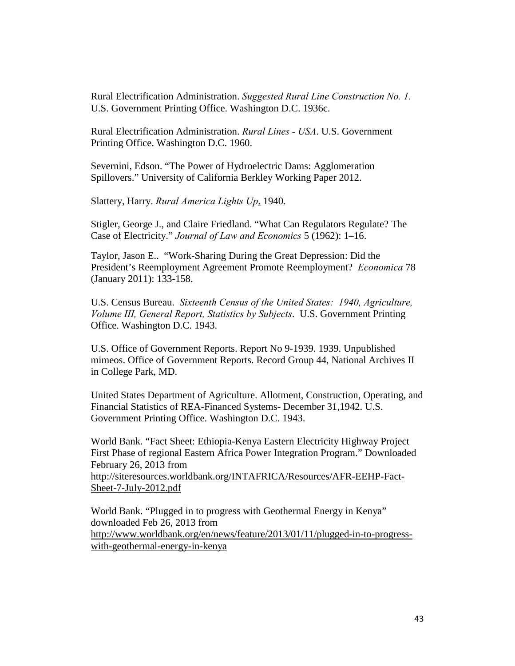Rural Electrification Administration. *Suggested Rural Line Construction No. 1.* U.S. Government Printing Office. Washington D.C. 1936c.

Rural Electrification Administration. *Rural Lines - USA*. U.S. Government Printing Office. Washington D.C. 1960.

Severnini, Edson. "The Power of Hydroelectric Dams: Agglomeration Spillovers." University of California Berkley Working Paper 2012.

Slattery, Harry. *Rural America Lights Up*. 1940.

Stigler, George J., and Claire Friedland. "What Can Regulators Regulate? The Case of Electricity." *Journal of Law and Economics* 5 (1962): 1–16.

Taylor, Jason E.. "Work-Sharing During the Great Depression: Did the President's Reemployment Agreement Promote Reemployment? *Economica* 78 (January 2011): 133-158.

U.S. Census Bureau. *Sixteenth Census of the United States: 1940, Agriculture, Volume III, General Report, Statistics by Subjects*. U.S. Government Printing Office. Washington D.C. 1943.

U.S. Office of Government Reports. Report No 9-1939. 1939. Unpublished mimeos. Office of Government Reports. Record Group 44, National Archives II in College Park, MD.

United States Department of Agriculture. Allotment, Construction, Operating, and Financial Statistics of REA-Financed Systems- December 31,1942. U.S. Government Printing Office. Washington D.C. 1943.

World Bank. "Fact Sheet: Ethiopia-Kenya Eastern Electricity Highway Project First Phase of regional Eastern Africa Power Integration Program." Downloaded February 26, 2013 from [http://siteresources.worldbank.org/INTAFRICA/Resources/AFR-EEHP-Fact-](http://siteresources.worldbank.org/INTAFRICA/Resources/AFR-EEHP-Fact-Sheet-7-July-2012.pdf)[Sheet-7-July-2012.pdf](http://siteresources.worldbank.org/INTAFRICA/Resources/AFR-EEHP-Fact-Sheet-7-July-2012.pdf)

World Bank. "Plugged in to progress with Geothermal Energy in Kenya" downloaded Feb 26, 2013 from [http://www.worldbank.org/en/news/feature/2013/01/11/plugged-in-to-progress](http://www.worldbank.org/en/news/feature/2013/01/11/plugged-in-to-progress-with-geothermal-energy-in-kenya)[with-geothermal-energy-in-kenya](http://www.worldbank.org/en/news/feature/2013/01/11/plugged-in-to-progress-with-geothermal-energy-in-kenya)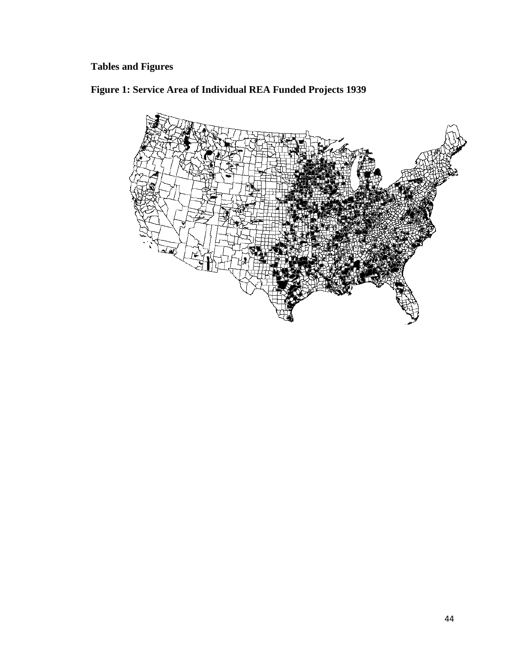# **Tables and Figures**

**Figure 1: Service Area of Individual REA Funded Projects 1939**

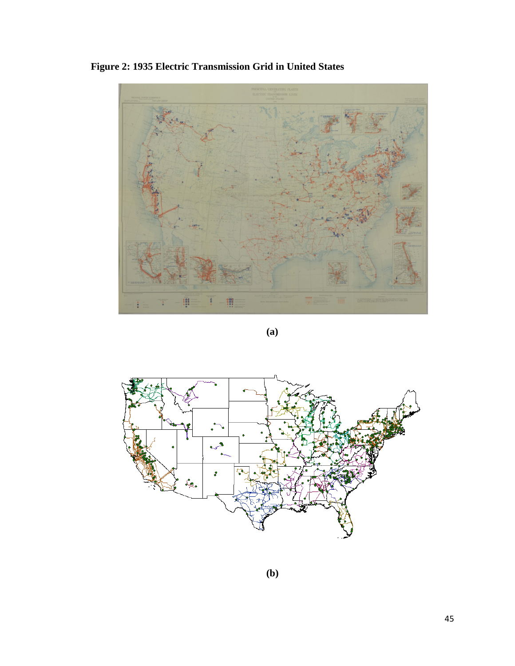**Figure 2: 1935 Electric Transmission Grid in United States**



**(a)**



**(b)**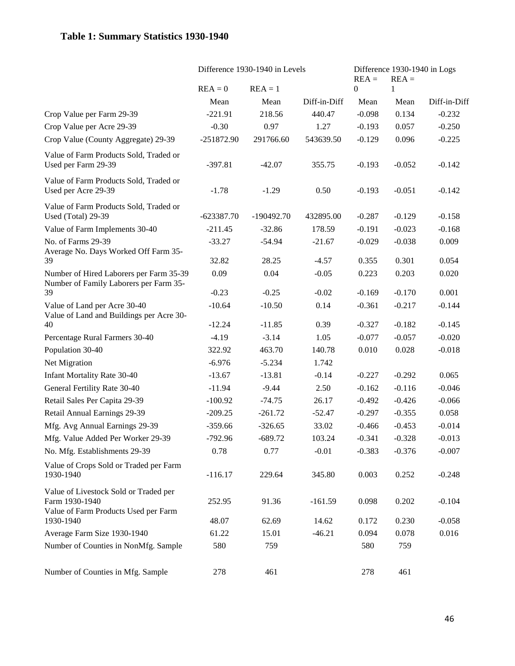## **Table 1: Summary Statistics 1930-1940**

|                                                                                                 | Difference 1930-1940 in Levels | Difference 1930-1940 in Logs<br>$REA =$<br>$REA =$ |              |          |          |              |
|-------------------------------------------------------------------------------------------------|--------------------------------|----------------------------------------------------|--------------|----------|----------|--------------|
|                                                                                                 | $REA = 0$                      | $REA = 1$                                          |              | $\Omega$ | 1        |              |
|                                                                                                 | Mean                           | Mean                                               | Diff-in-Diff | Mean     | Mean     | Diff-in-Diff |
| Crop Value per Farm 29-39                                                                       | $-221.91$                      | 218.56                                             | 440.47       | $-0.098$ | 0.134    | $-0.232$     |
| Crop Value per Acre 29-39                                                                       | $-0.30$                        | 0.97                                               | 1.27         | $-0.193$ | 0.057    | $-0.250$     |
| Crop Value (County Aggregate) 29-39                                                             | $-251872.90$                   | 291766.60                                          | 543639.50    | $-0.129$ | 0.096    | $-0.225$     |
| Value of Farm Products Sold, Traded or<br>Used per Farm 29-39                                   | $-397.81$                      | $-42.07$                                           | 355.75       | $-0.193$ | $-0.052$ | $-0.142$     |
| Value of Farm Products Sold, Traded or<br>Used per Acre 29-39                                   | $-1.78$                        | $-1.29$                                            | 0.50         | $-0.193$ | $-0.051$ | $-0.142$     |
| Value of Farm Products Sold, Traded or<br>Used (Total) 29-39                                    | $-623387.70$                   | $-190492.70$                                       | 432895.00    | $-0.287$ | $-0.129$ | $-0.158$     |
| Value of Farm Implements 30-40                                                                  | $-211.45$                      | $-32.86$                                           | 178.59       | $-0.191$ | $-0.023$ | $-0.168$     |
| No. of Farms 29-39<br>Average No. Days Worked Off Farm 35-                                      | $-33.27$                       | $-54.94$                                           | $-21.67$     | $-0.029$ | $-0.038$ | 0.009        |
| 39                                                                                              | 32.82                          | 28.25                                              | $-4.57$      | 0.355    | 0.301    | 0.054        |
| Number of Hired Laborers per Farm 35-39<br>Number of Family Laborers per Farm 35-               | 0.09                           | 0.04                                               | $-0.05$      | 0.223    | 0.203    | 0.020        |
| 39                                                                                              | $-0.23$                        | $-0.25$                                            | $-0.02$      | $-0.169$ | $-0.170$ | 0.001        |
| Value of Land per Acre 30-40<br>Value of Land and Buildings per Acre 30-                        | $-10.64$                       | $-10.50$                                           | 0.14         | $-0.361$ | $-0.217$ | $-0.144$     |
| 40                                                                                              | $-12.24$                       | $-11.85$                                           | 0.39         | $-0.327$ | $-0.182$ | $-0.145$     |
| Percentage Rural Farmers 30-40                                                                  | $-4.19$                        | $-3.14$                                            | 1.05         | $-0.077$ | $-0.057$ | $-0.020$     |
| Population 30-40                                                                                | 322.92                         | 463.70                                             | 140.78       | 0.010    | 0.028    | $-0.018$     |
| Net Migration                                                                                   | $-6.976$                       | $-5.234$                                           | 1.742        |          |          |              |
| Infant Mortality Rate 30-40                                                                     | $-13.67$                       | $-13.81$                                           | $-0.14$      | $-0.227$ | $-0.292$ | 0.065        |
| General Fertility Rate 30-40                                                                    | $-11.94$                       | $-9.44$                                            | 2.50         | $-0.162$ | $-0.116$ | $-0.046$     |
| Retail Sales Per Capita 29-39                                                                   | $-100.92$                      | $-74.75$                                           | 26.17        | $-0.492$ | $-0.426$ | $-0.066$     |
| Retail Annual Earnings 29-39                                                                    | $-209.25$                      | $-261.72$                                          | $-52.47$     | $-0.297$ | $-0.355$ | 0.058        |
| Mfg. Avg Annual Earnings 29-39                                                                  | $-359.66$                      | $-326.65$                                          | 33.02        | $-0.466$ | $-0.453$ | $-0.014$     |
| Mfg. Value Added Per Worker 29-39                                                               | $-792.96$                      | $-689.72$                                          | 103.24       | $-0.341$ | $-0.328$ | $-0.013$     |
| No. Mfg. Establishments 29-39                                                                   | 0.78                           | 0.77                                               | $-0.01$      | $-0.383$ | $-0.376$ | $-0.007$     |
| Value of Crops Sold or Traded per Farm<br>1930-1940                                             | $-116.17$                      | 229.64                                             | 345.80       | 0.003    | 0.252    | $-0.248$     |
| Value of Livestock Sold or Traded per<br>Farm 1930-1940<br>Value of Farm Products Used per Farm | 252.95                         | 91.36                                              | $-161.59$    | 0.098    | 0.202    | $-0.104$     |
| 1930-1940                                                                                       | 48.07                          | 62.69                                              | 14.62        | 0.172    | 0.230    | $-0.058$     |
| Average Farm Size 1930-1940                                                                     | 61.22                          | 15.01                                              | $-46.21$     | 0.094    | 0.078    | 0.016        |
| Number of Counties in NonMfg. Sample                                                            | 580                            | 759                                                |              | 580      | 759      |              |
| Number of Counties in Mfg. Sample                                                               | 278                            | 461                                                |              | 278      | 461      |              |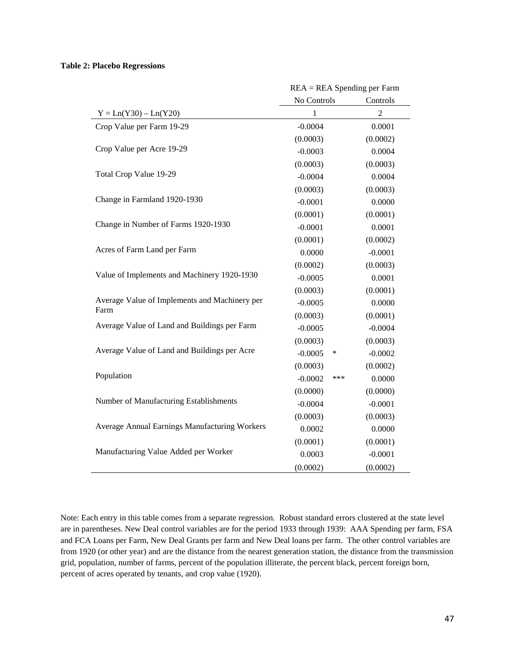#### **Table 2: Placebo Regressions**

|                                                       | $REA = REAL$ Spending per Farm |     |                |  |  |
|-------------------------------------------------------|--------------------------------|-----|----------------|--|--|
|                                                       | No Controls<br>Controls        |     |                |  |  |
| $Y = Ln(Y30) - Ln(Y20)$                               | 1                              |     | $\overline{c}$ |  |  |
| Crop Value per Farm 19-29                             | $-0.0004$                      |     | 0.0001         |  |  |
|                                                       | (0.0003)                       |     | (0.0002)       |  |  |
| Crop Value per Acre 19-29                             | $-0.0003$                      |     | 0.0004         |  |  |
|                                                       | (0.0003)                       |     | (0.0003)       |  |  |
| Total Crop Value 19-29                                | $-0.0004$                      |     | 0.0004         |  |  |
|                                                       | (0.0003)                       |     | (0.0003)       |  |  |
| Change in Farmland 1920-1930                          | $-0.0001$                      |     | 0.0000         |  |  |
|                                                       | (0.0001)                       |     | (0.0001)       |  |  |
| Change in Number of Farms 1920-1930                   | $-0.0001$                      |     | 0.0001         |  |  |
|                                                       | (0.0001)                       |     | (0.0002)       |  |  |
| Acres of Farm Land per Farm                           | 0.0000                         |     | $-0.0001$      |  |  |
|                                                       | (0.0002)                       |     | (0.0003)       |  |  |
| Value of Implements and Machinery 1920-1930           | $-0.0005$                      |     | 0.0001         |  |  |
|                                                       | (0.0003)                       |     | (0.0001)       |  |  |
| Average Value of Implements and Machinery per<br>Farm | $-0.0005$                      |     | 0.0000         |  |  |
|                                                       | (0.0003)                       |     | (0.0001)       |  |  |
| Average Value of Land and Buildings per Farm          | $-0.0005$                      |     | $-0.0004$      |  |  |
|                                                       | (0.0003)                       |     | (0.0003)       |  |  |
| Average Value of Land and Buildings per Acre          | $-0.0005$                      | ∗   | $-0.0002$      |  |  |
|                                                       | (0.0003)                       |     | (0.0002)       |  |  |
| Population                                            | $-0.0002$                      | *** | 0.0000         |  |  |
|                                                       | (0.0000)                       |     | (0.0000)       |  |  |
| Number of Manufacturing Establishments                | $-0.0004$                      |     | $-0.0001$      |  |  |
|                                                       | (0.0003)                       |     | (0.0003)       |  |  |
| Average Annual Earnings Manufacturing Workers         | 0.0002                         |     | 0.0000         |  |  |
|                                                       | (0.0001)                       |     | (0.0001)       |  |  |
| Manufacturing Value Added per Worker                  | 0.0003                         |     | $-0.0001$      |  |  |
|                                                       | (0.0002)                       |     | (0.0002)       |  |  |

Note: Each entry in this table comes from a separate regression. Robust standard errors clustered at the state level are in parentheses. New Deal control variables are for the period 1933 through 1939: AAA Spending per farm, FSA and FCA Loans per Farm, New Deal Grants per farm and New Deal loans per farm. The other control variables are from 1920 (or other year) and are the distance from the nearest generation station, the distance from the transmission grid, population, number of farms, percent of the population illiterate, the percent black, percent foreign born, percent of acres operated by tenants, and crop value (1920).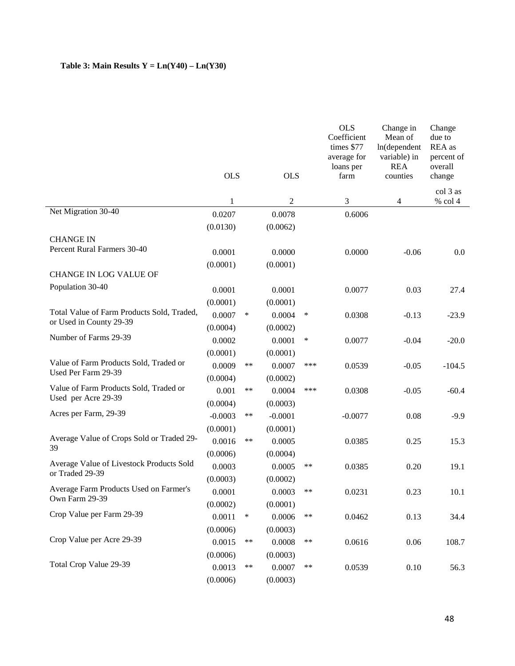## **Table 3: Main Results**  $Y = Ln(Y40) - Ln(Y30)$

|                                                                       | <b>OLS</b>  |        | <b>OLS</b>               |        | <b>OLS</b><br>Coefficient<br>times \$77<br>average for<br>loans per<br>farm | Change in<br>Mean of<br>ln(dependent<br>variable) in<br><b>REA</b><br>counties | Change<br>due to<br>REA as<br>percent of<br>overall<br>change |
|-----------------------------------------------------------------------|-------------|--------|--------------------------|--------|-----------------------------------------------------------------------------|--------------------------------------------------------------------------------|---------------------------------------------------------------|
|                                                                       |             |        |                          |        |                                                                             |                                                                                | col 3 as                                                      |
| Net Migration 30-40                                                   | 1<br>0.0207 |        | $\overline{c}$<br>0.0078 |        | 3<br>0.6006                                                                 | 4                                                                              | % col 4                                                       |
|                                                                       | (0.0130)    |        | (0.0062)                 |        |                                                                             |                                                                                |                                                               |
| <b>CHANGE IN</b>                                                      |             |        |                          |        |                                                                             |                                                                                |                                                               |
| Percent Rural Farmers 30-40                                           | 0.0001      |        | 0.0000                   |        | 0.0000                                                                      | $-0.06$                                                                        | 0.0                                                           |
|                                                                       | (0.0001)    |        | (0.0001)                 |        |                                                                             |                                                                                |                                                               |
| CHANGE IN LOG VALUE OF                                                |             |        |                          |        |                                                                             |                                                                                |                                                               |
| Population 30-40                                                      | 0.0001      |        | 0.0001                   |        | 0.0077                                                                      | 0.03                                                                           | 27.4                                                          |
|                                                                       | (0.0001)    |        | (0.0001)                 |        |                                                                             |                                                                                |                                                               |
| Total Value of Farm Products Sold, Traded,<br>or Used in County 29-39 | 0.0007      | $\ast$ | 0.0004                   | $\ast$ | 0.0308                                                                      | $-0.13$                                                                        | $-23.9$                                                       |
|                                                                       | (0.0004)    |        | (0.0002)                 |        |                                                                             |                                                                                |                                                               |
| Number of Farms 29-39                                                 | 0.0002      |        | 0.0001                   | $\ast$ | 0.0077                                                                      | $-0.04$                                                                        | $-20.0$                                                       |
|                                                                       | (0.0001)    |        | (0.0001)                 |        |                                                                             |                                                                                |                                                               |
| Value of Farm Products Sold, Traded or                                | 0.0009      | $***$  | 0.0007                   | ***    | 0.0539                                                                      | $-0.05$                                                                        | $-104.5$                                                      |
| Used Per Farm 29-39                                                   | (0.0004)    |        | (0.0002)                 |        |                                                                             |                                                                                |                                                               |
| Value of Farm Products Sold, Traded or                                | 0.001       | **     | 0.0004                   | ***    | 0.0308                                                                      | $-0.05$                                                                        | $-60.4$                                                       |
| Used per Acre 29-39                                                   | (0.0004)    |        | (0.0003)                 |        |                                                                             |                                                                                |                                                               |
| Acres per Farm, 29-39                                                 | $-0.0003$   | $***$  | $-0.0001$                |        | $-0.0077$                                                                   | 0.08                                                                           | $-9.9$                                                        |
|                                                                       | (0.0001)    |        | (0.0001)                 |        |                                                                             |                                                                                |                                                               |
| Average Value of Crops Sold or Traded 29-<br>39                       | 0.0016      | $***$  | 0.0005                   |        | 0.0385                                                                      | 0.25                                                                           | 15.3                                                          |
|                                                                       | (0.0006)    |        | (0.0004)                 |        |                                                                             |                                                                                |                                                               |
| Average Value of Livestock Products Sold                              | 0.0003      |        | 0.0005                   | **     | 0.0385                                                                      | 0.20                                                                           | 19.1                                                          |
| or Traded 29-39                                                       | (0.0003)    |        | (0.0002)                 |        |                                                                             |                                                                                |                                                               |
| Average Farm Products Used on Farmer's<br>Own Farm 29-39              | 0.0001      |        | 0.0003                   | **     | 0.0231                                                                      | 0.23                                                                           | 10.1                                                          |
|                                                                       | (0.0002)    |        | (0.0001)                 |        |                                                                             |                                                                                |                                                               |
| Crop Value per Farm 29-39                                             | 0.0011      | ∗      | 0.0006                   | **     | 0.0462                                                                      | 0.13                                                                           | 34.4                                                          |
|                                                                       | (0.0006)    |        | (0.0003)                 |        |                                                                             |                                                                                |                                                               |
| Crop Value per Acre 29-39                                             | 0.0015      | **     | 0.0008                   | **     | 0.0616                                                                      | $0.06\,$                                                                       | 108.7                                                         |
|                                                                       | (0.0006)    |        | (0.0003)                 |        |                                                                             |                                                                                |                                                               |
| Total Crop Value 29-39                                                | 0.0013      | **     | 0.0007                   | **     | 0.0539                                                                      | 0.10                                                                           | 56.3                                                          |
|                                                                       | (0.0006)    |        | (0.0003)                 |        |                                                                             |                                                                                |                                                               |